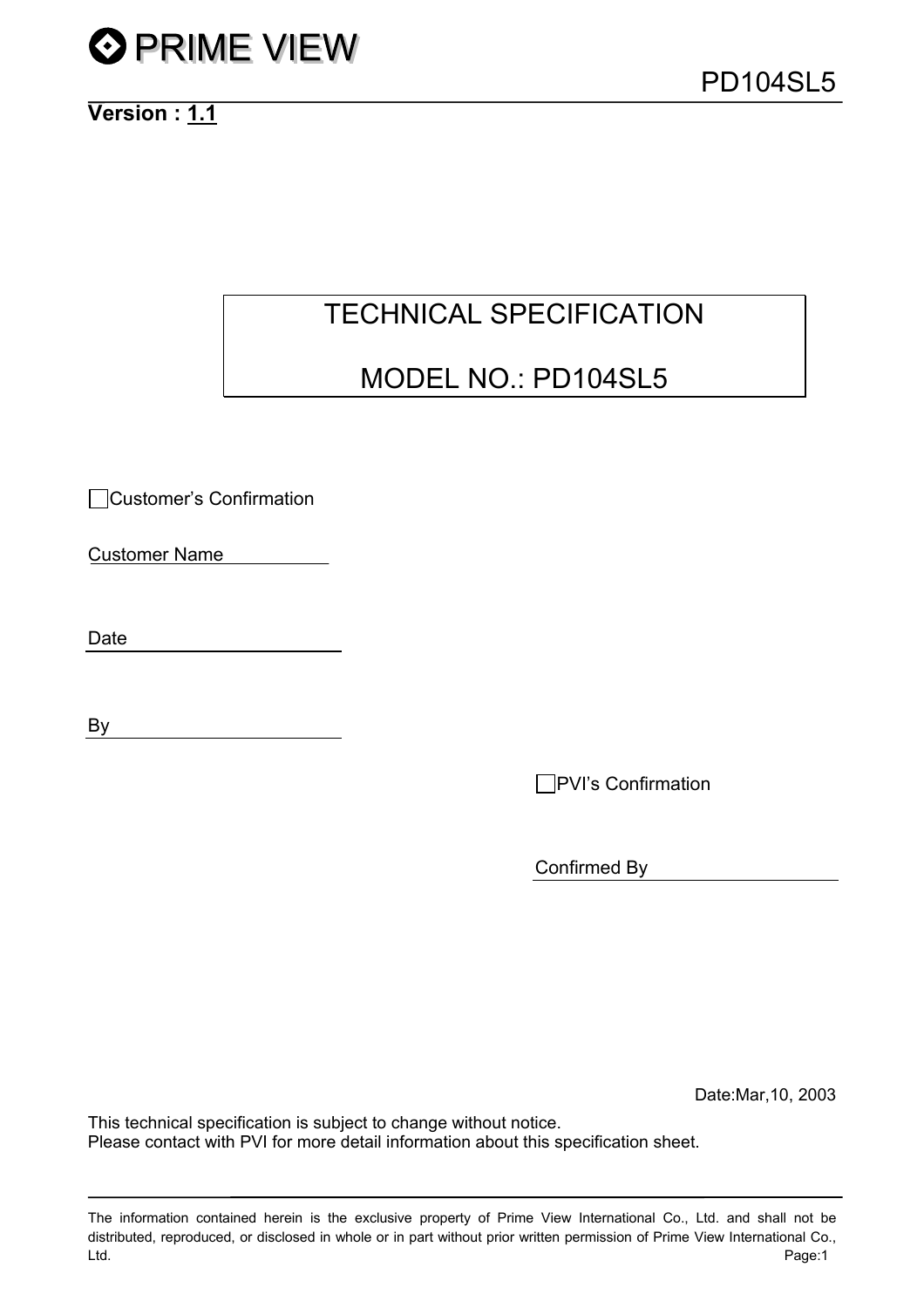

# TECHNICAL SPECIFICATION

# MODEL NO.: PD104SL5

Customer's Confirmation

Customer Name

Date

By

**PVI's Confirmation** 

Confirmed By

Date:Mar,10, 2003

This technical specification is subject to change without notice. Please contact with PVI for more detail information about this specification sheet.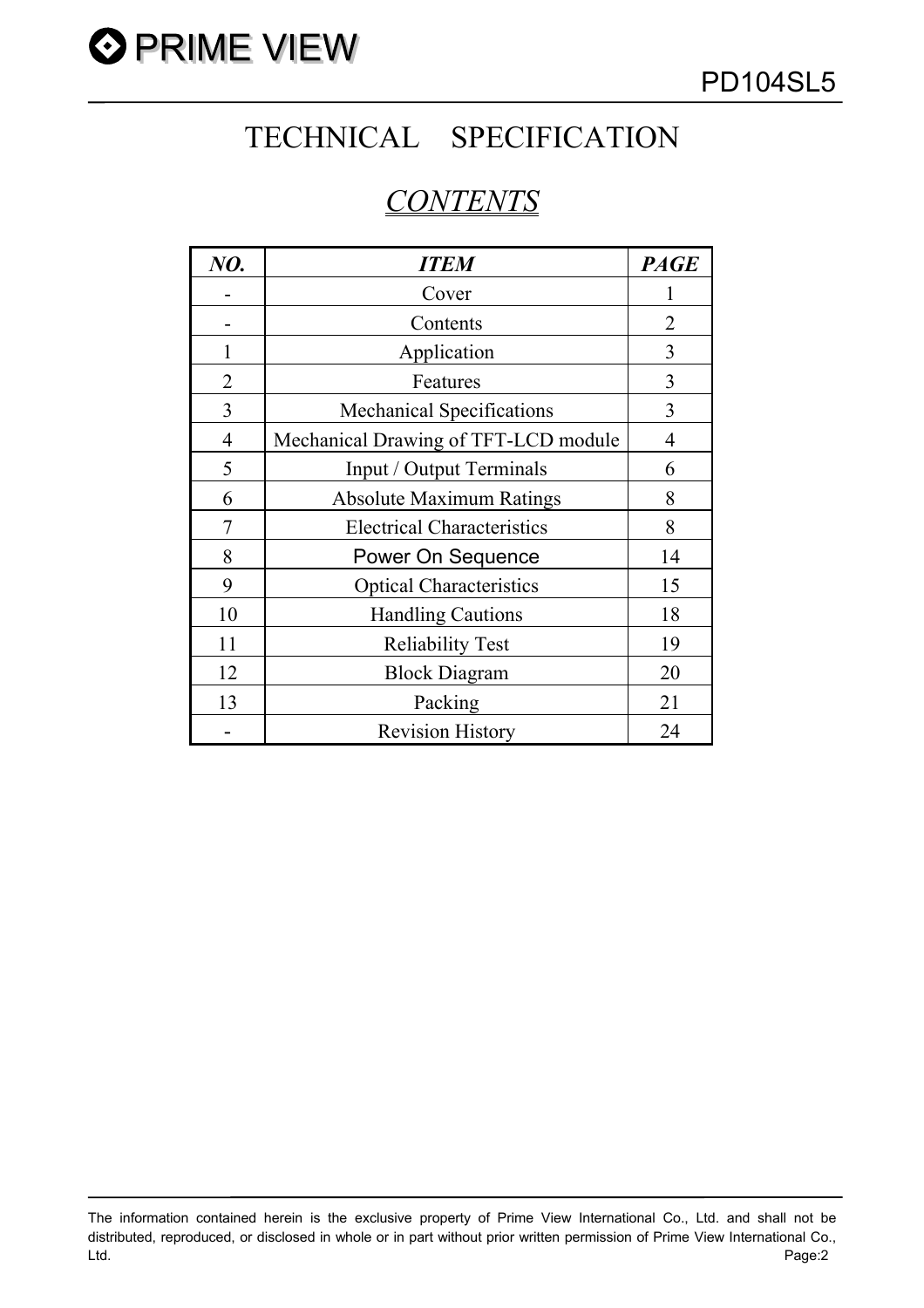

# TECHNICAL SPECIFICATION

# *CONTENTS*

| NO.            | <b>ITEM</b>                          | <b>PAGE</b> |
|----------------|--------------------------------------|-------------|
|                | Cover                                |             |
|                | Contents                             | 2           |
|                | Application                          | 3           |
| 2              | Features                             | 3           |
| 3              | <b>Mechanical Specifications</b>     | 3           |
| $\overline{4}$ | Mechanical Drawing of TFT-LCD module | 4           |
| 5              | Input / Output Terminals             | 6           |
| 6              | <b>Absolute Maximum Ratings</b>      | 8           |
| 7              | <b>Electrical Characteristics</b>    | 8           |
| 8              | Power On Sequence                    | 14          |
| 9              | <b>Optical Characteristics</b>       | 15          |
| 10             | <b>Handling Cautions</b>             | 18          |
| 11             | <b>Reliability Test</b>              | 19          |
| 12             | <b>Block Diagram</b>                 | 20          |
| 13             | Packing                              | 21          |
|                | <b>Revision History</b>              | 24          |

The information contained herein is the exclusive property of Prime View International Co., Ltd. and shall not be distributed, reproduced, or disclosed in whole or in part without prior written permission of Prime View International Co., Ltd. Page:2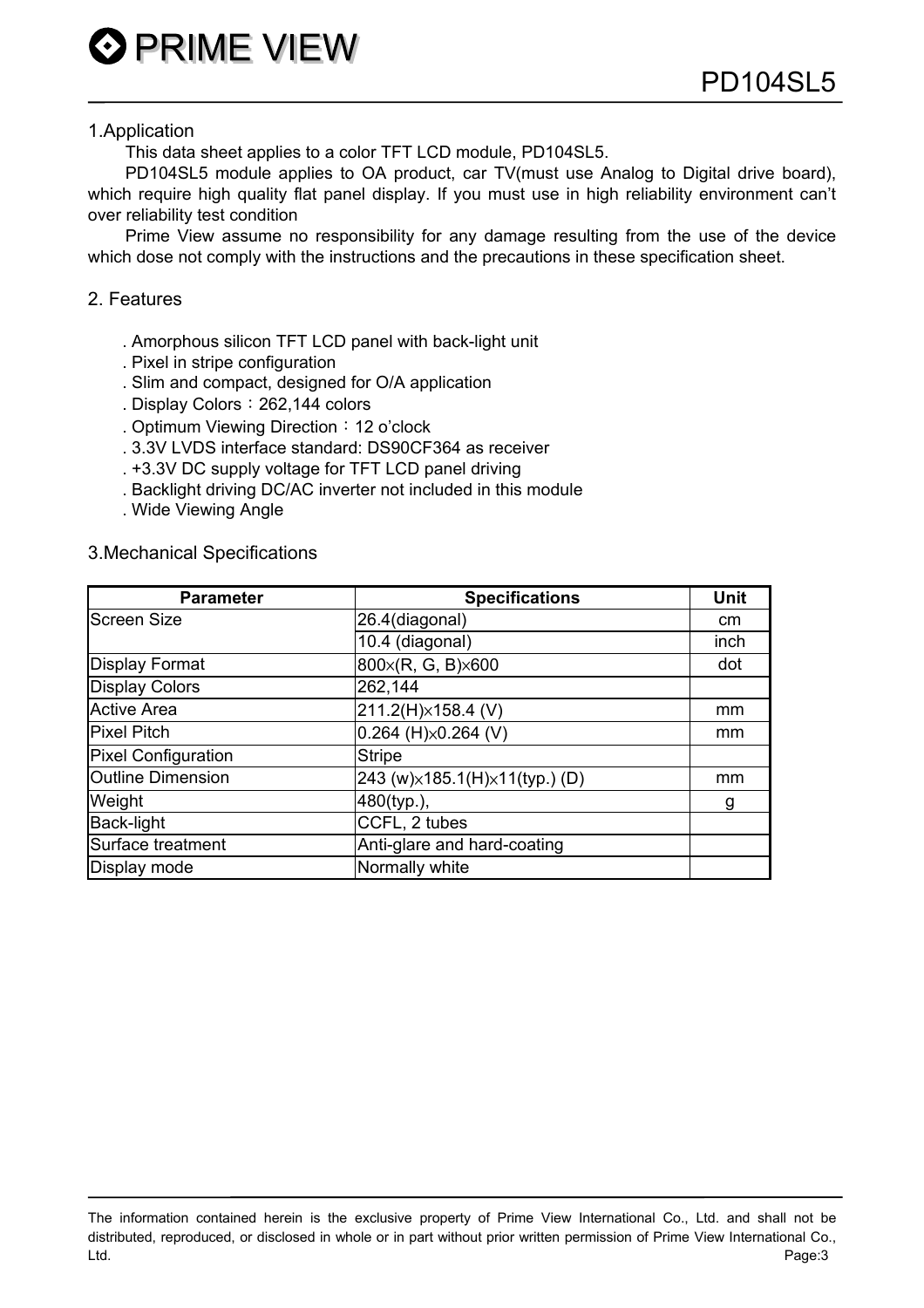#### 1.Application

This data sheet applies to a color TFT LCD module, PD104SL5.

PD104SL5 module applies to OA product, car TV(must use Analog to Digital drive board), which require high quality flat panel display. If you must use in high reliability environment can't over reliability test condition

Prime View assume no responsibility for any damage resulting from the use of the device which dose not comply with the instructions and the precautions in these specification sheet.

#### 2. Features

- . Amorphous silicon TFT LCD panel with back-light unit
- . Pixel in stripe configuration

**O PRIME VIEW** 

- . Slim and compact, designed for O/A application
- . Display Colors: 262,144 colors
- . Optimum Viewing Direction: 12 o'clock
- . 3.3V LVDS interface standard: DS90CF364 as receiver
- . +3.3V DC supply voltage for TFT LCD panel driving
- . Backlight driving DC/AC inverter not included in this module
- . Wide Viewing Angle

#### 3.Mechanical Specifications

| <b>Parameter</b>           | <b>Specifications</b>             | <b>Unit</b> |
|----------------------------|-----------------------------------|-------------|
| <b>Screen Size</b>         | 26.4(diagonal)                    | cm          |
|                            | 10.4 (diagonal)                   | inch        |
| <b>Display Format</b>      | 800x(R, G, B)x600                 | dot         |
| <b>Display Colors</b>      | 262,144                           |             |
| <b>Active Area</b>         | 211.2(H)×158.4 (V)                | mm          |
| <b>Pixel Pitch</b>         | $0.264$ (H) $\times$ 0.264 (V)    | mm          |
| <b>Pixel Configuration</b> | <b>Stripe</b>                     |             |
| <b>Outline Dimension</b>   | 243 (w) x 185.1(H) x 11(typ.) (D) | mm          |
| Weight                     | 480(typ.),                        | g           |
| <b>Back-light</b>          | CCFL, 2 tubes                     |             |
| Surface treatment          | Anti-glare and hard-coating       |             |
| Display mode               | Normally white                    |             |

The information contained herein is the exclusive property of Prime View International Co., Ltd. and shall not be distributed, reproduced, or disclosed in whole or in part without prior written permission of Prime View International Co., Ltd. Page:3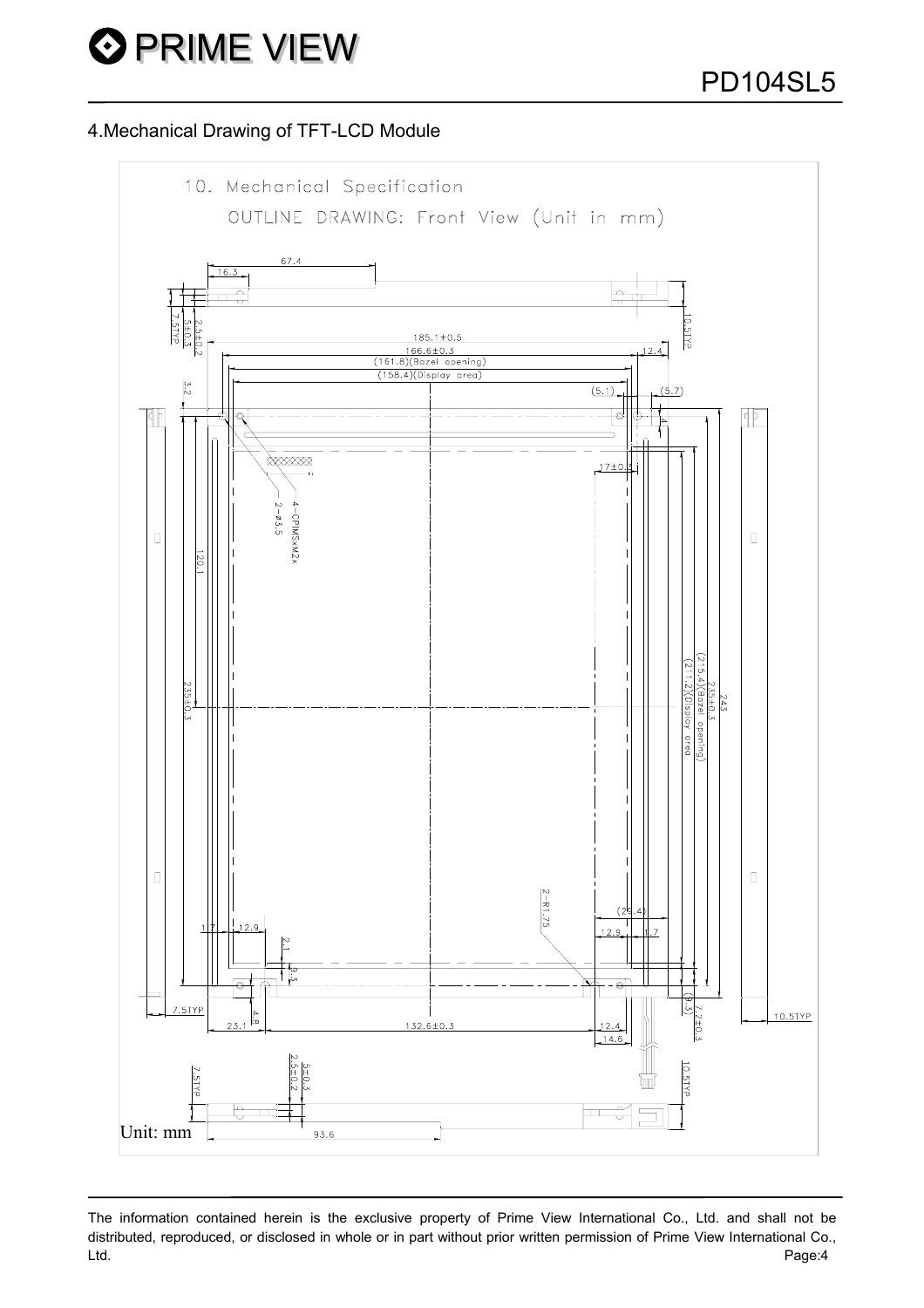## 4.Mechanical Drawing of TFT-LCD Module



The information contained herein is the exclusive property of Prime View International Co., Ltd. and shall not be distributed, reproduced, or disclosed in whole or in part without prior written permission of Prime View International Co., Ltd. Page:4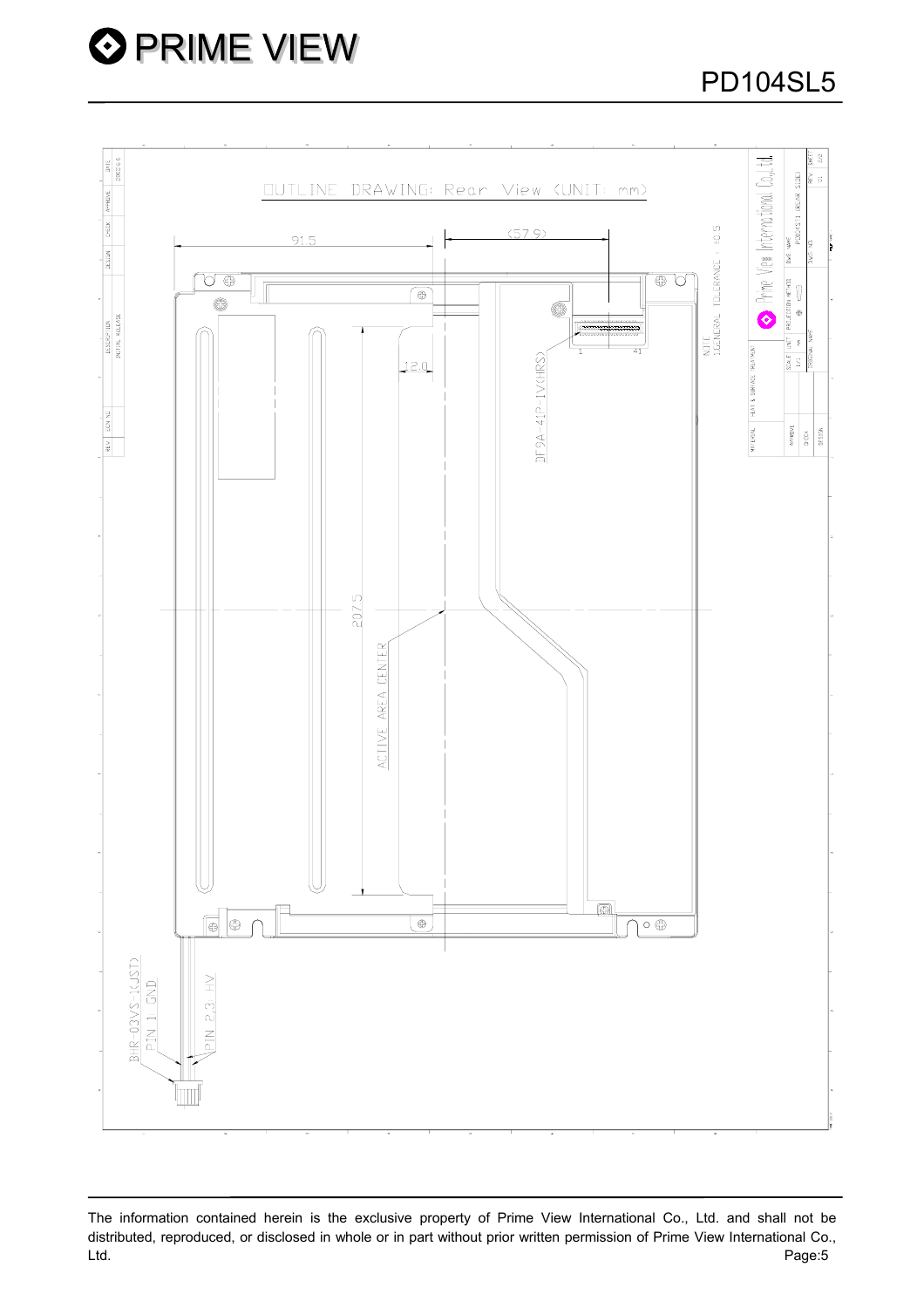

The information contained herein is the exclusive property of Prime View International Co., Ltd. and shall not be distributed, reproduced, or disclosed in whole or in part without prior written permission of Prime View International Co., Ltd. Page:5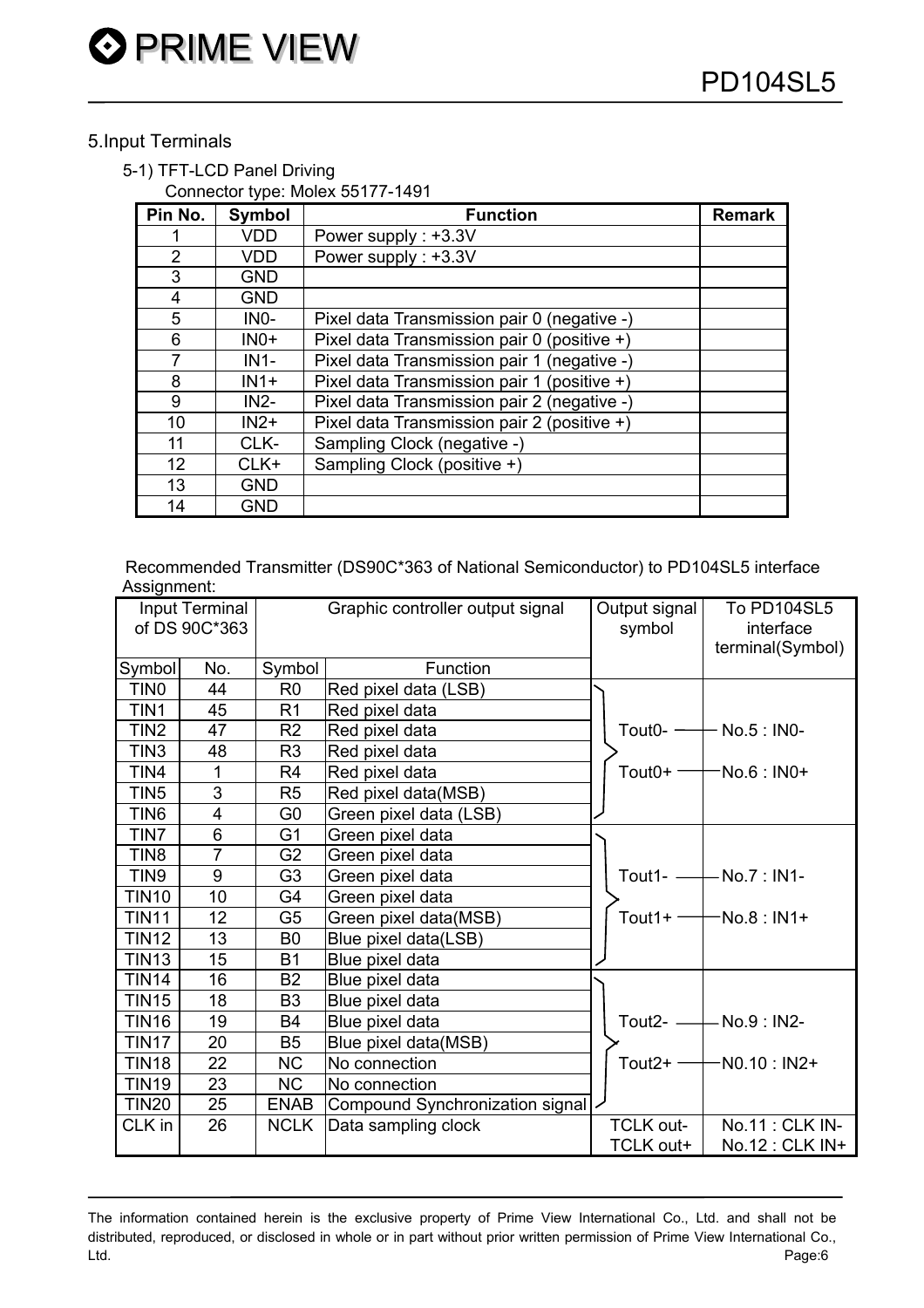# 5.Input Terminals

## 5-1) TFT-LCD Panel Driving

Connector type: Molex 55177-1491

| Pin No.        | Symbol     | <b>Function</b>                             | <b>Remark</b> |
|----------------|------------|---------------------------------------------|---------------|
|                | <b>VDD</b> | Power supply: +3.3V                         |               |
| $\overline{2}$ | <b>VDD</b> | Power supply: +3.3V                         |               |
| 3              | <b>GND</b> |                                             |               |
| 4              | <b>GND</b> |                                             |               |
| 5              | INO-       | Pixel data Transmission pair 0 (negative -) |               |
| 6              | $INO+$     | Pixel data Transmission pair 0 (positive +) |               |
| $\overline{7}$ | $IN1-$     | Pixel data Transmission pair 1 (negative -) |               |
| 8              | $IN1+$     | Pixel data Transmission pair 1 (positive +) |               |
| 9              | $IN2-$     | Pixel data Transmission pair 2 (negative -) |               |
| 10             | $IN2+$     | Pixel data Transmission pair 2 (positive +) |               |
| 11             | CLK-       | Sampling Clock (negative -)                 |               |
| 12             | $CLK+$     | Sampling Clock (positive +)                 |               |
| 13             | <b>GND</b> |                                             |               |
| 14             | <b>GND</b> |                                             |               |

Recommended Transmitter (DS90C\*363 of National Semiconductor) to PD104SL5 interface Assignment:

| Input Terminal<br>of DS 90C*363 |                |                | Graphic controller output signal | Output signal<br>symbol | <b>To PD104SL5</b><br>interface<br>terminal(Symbol) |
|---------------------------------|----------------|----------------|----------------------------------|-------------------------|-----------------------------------------------------|
| Symbol                          | No.            | Symbol         | Function                         |                         |                                                     |
| TIN <sub>0</sub>                | 44             | R <sub>0</sub> | Red pixel data (LSB)             |                         |                                                     |
| TIN1                            | 45             | R <sub>1</sub> | Red pixel data                   |                         |                                                     |
| TIN <sub>2</sub>                | 47             | R <sub>2</sub> | Red pixel data                   | Tout <sub>0</sub> - $-$ | - No.5 : IN0-                                       |
| TIN <sub>3</sub>                | 48             | R <sub>3</sub> | Red pixel data                   |                         |                                                     |
| TIN4                            | $\mathbf{1}$   | R <sub>4</sub> | Red pixel data                   | Tout $0+$ $-$           | -No.6 : IN0+                                        |
| TIN <sub>5</sub>                | 3              | R <sub>5</sub> | Red pixel data(MSB)              |                         |                                                     |
| TIN <sub>6</sub>                | 4              | G <sub>0</sub> | Green pixel data (LSB)           |                         |                                                     |
| TIN7                            | 6              | G <sub>1</sub> | Green pixel data                 |                         |                                                     |
| TIN <sub>8</sub>                | $\overline{7}$ | G <sub>2</sub> | Green pixel data                 |                         |                                                     |
| TIN9                            | 9              | G <sub>3</sub> | Green pixel data                 | Tout1- $-$              | $-$ No.7 : IN1-                                     |
| <b>TIN10</b>                    | 10             | G4             | Green pixel data                 |                         |                                                     |
| <b>TIN11</b>                    | 12             | G <sub>5</sub> | Green pixel data(MSB)            | Tout $1+ -$             | $-No.8:IN1+$                                        |
| <b>TIN12</b>                    | 13             | B <sub>0</sub> | Blue pixel data(LSB)             |                         |                                                     |
| <b>TIN13</b>                    | 15             | <b>B1</b>      | Blue pixel data                  |                         |                                                     |
| <b>TIN14</b>                    | 16             | B <sub>2</sub> | Blue pixel data                  |                         |                                                     |
| <b>TIN15</b>                    | 18             | B <sub>3</sub> | Blue pixel data                  |                         |                                                     |
| <b>TIN16</b>                    | 19             | <b>B4</b>      | Blue pixel data                  | Tout $2-$               | $-$ No.9 : IN2-                                     |
| <b>TIN17</b>                    | 20             | B <sub>5</sub> | Blue pixel data(MSB)             |                         |                                                     |
| <b>TIN18</b>                    | 22             | <b>NC</b>      | No connection                    | Tout $2+$ –             | $-N0.10 : IN2+$                                     |
| <b>TIN19</b>                    | 23             | <b>NC</b>      | No connection                    |                         |                                                     |
| <b>TIN20</b>                    | 25             | <b>ENAB</b>    | Compound Synchronization signal  |                         |                                                     |
| CLK in                          | 26             | <b>NCLK</b>    | Data sampling clock              | <b>TCLK out-</b>        | No.11 : CLK IN-                                     |
|                                 |                |                |                                  | TCLK out+               | No.12 : CLK IN+                                     |

The information contained herein is the exclusive property of Prime View International Co., Ltd. and shall not be distributed, reproduced, or disclosed in whole or in part without prior written permission of Prime View International Co., Ltd. Page:6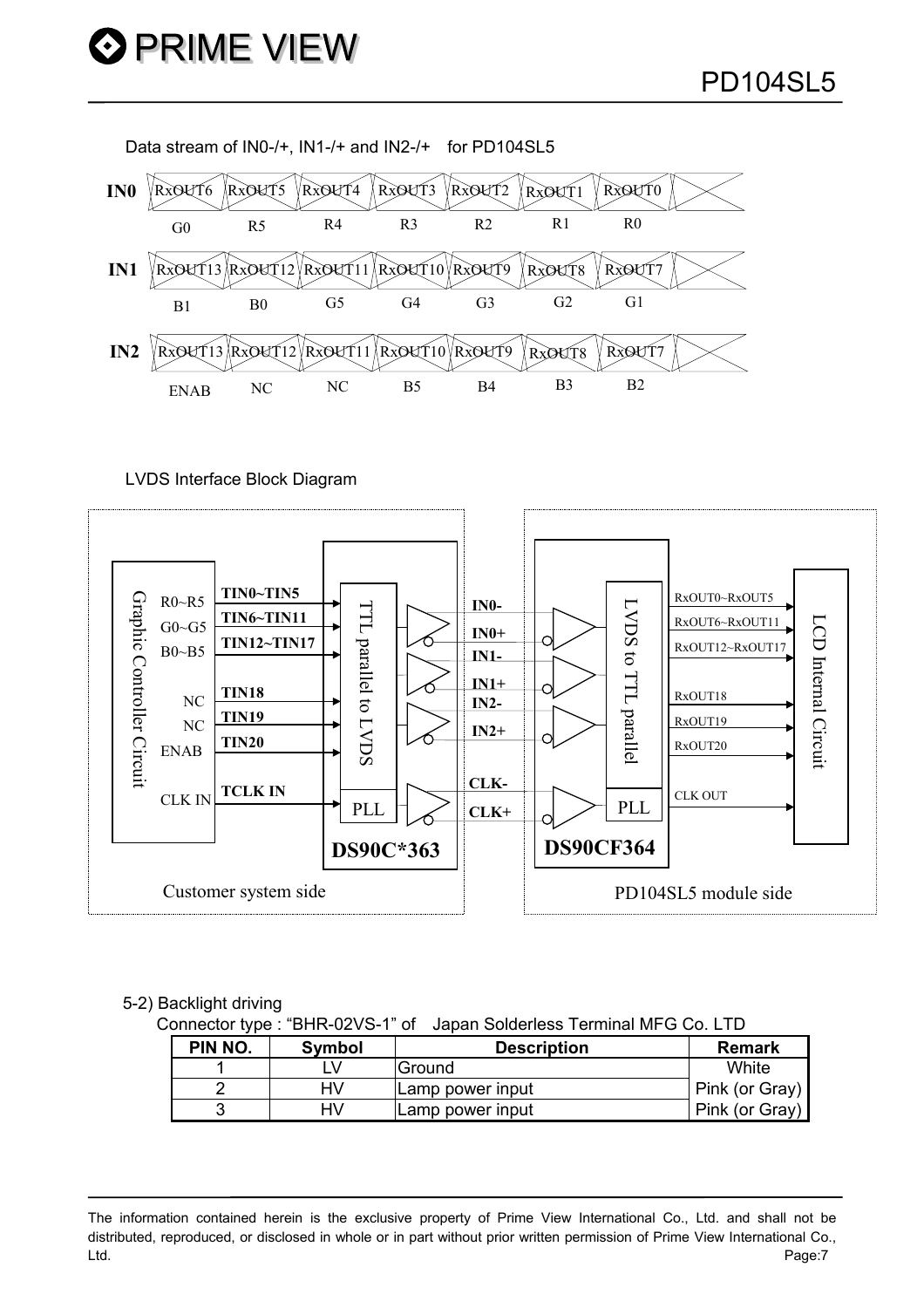Data stream of IN0-/+, IN1-/+ and IN2-/+ for PD104SL5



LVDS Interface Block Diagram



#### 5-2) Backlight driving

Connector type : "BHR-02VS-1" of Japan Solderless Terminal MFG Co. LTD

| PIN NO. | Symbol | <b>Description</b> | <b>Remark</b>  |
|---------|--------|--------------------|----------------|
|         |        | lGround            | White          |
|         |        | Lamp power input   | Pink (or Gray) |
| ັ       |        | Lamp power input   | Pink (or Gray) |

The information contained herein is the exclusive property of Prime View International Co., Ltd. and shall not be distributed, reproduced, or disclosed in whole or in part without prior written permission of Prime View International Co., Ltd. Page:7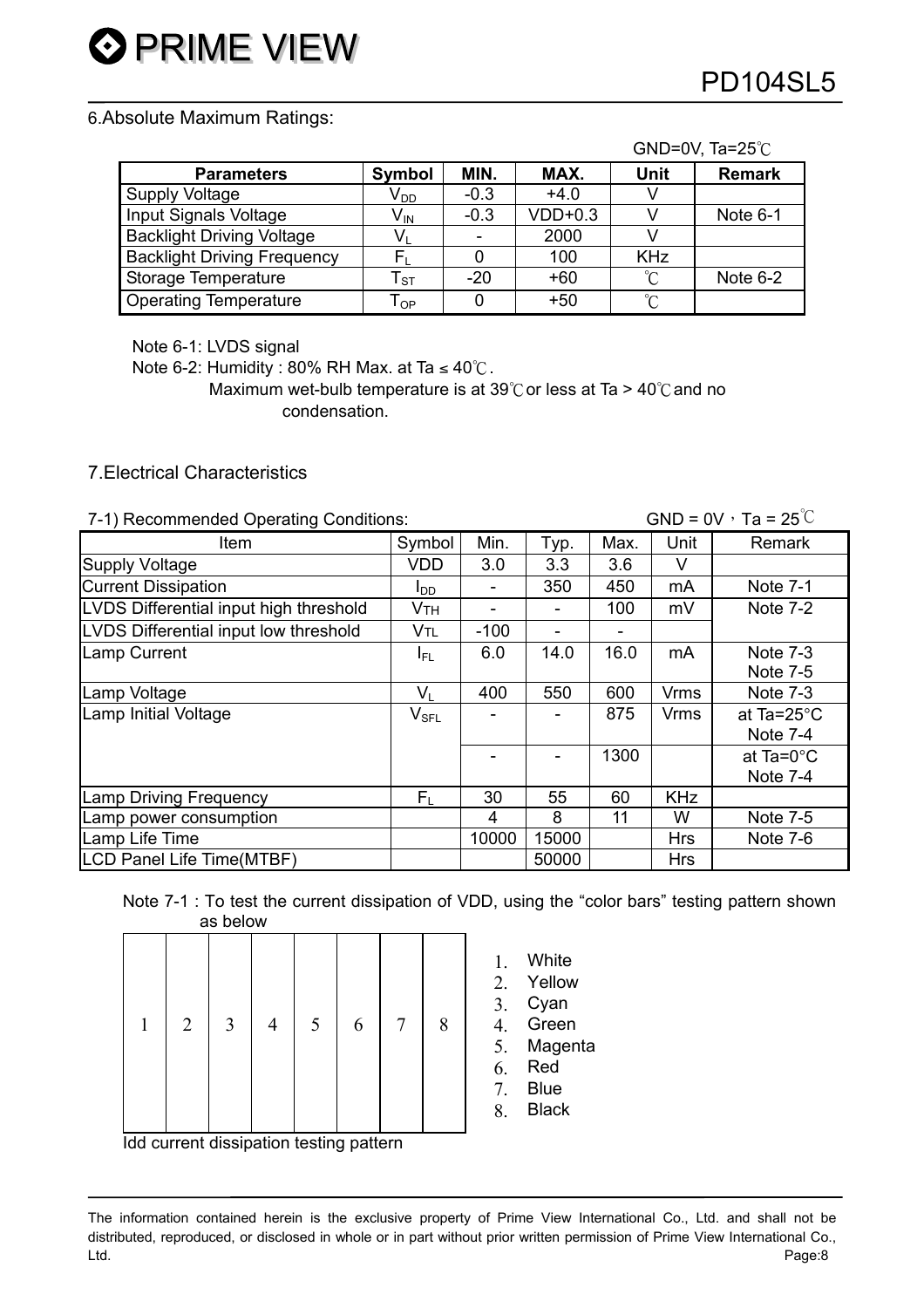#### 6.Absolute Maximum Ratings:

|                                    |                            |        |           |                 | GND=0V, Ta= $25^{\circ}$ C |
|------------------------------------|----------------------------|--------|-----------|-----------------|----------------------------|
| <b>Parameters</b>                  | Symbol                     | MIN.   | MAX.      | Unit            | <b>Remark</b>              |
| <b>Supply Voltage</b>              | V <sub>DD</sub>            | $-0.3$ | $+4.0$    |                 |                            |
| Input Signals Voltage              | $V_{IN}$                   | $-0.3$ | $VDD+0.3$ |                 | Note $6-1$                 |
| <b>Backlight Driving Voltage</b>   | V,                         |        | 2000      |                 |                            |
| <b>Backlight Driving Frequency</b> | F,                         |        | 100       | <b>KHz</b>      |                            |
| Storage Temperature                | ${\sf T}_{\tt ST}$         | $-20$  | $+60$     | $^{\circ}C$     | Note $6-2$                 |
| <b>Operating Temperature</b>       | $\mathsf{T}_{\mathsf{OP}}$ |        | $+50$     | $\rm ^{\circ}C$ |                            |

Note 6-1: LVDS signal

Note 6-2: Humidity : 80% RH Max. at Ta  $\leq 40^{\circ}$ C.

Maximum wet-bulb temperature is at 39 $^{\circ}$ C or less at Ta > 40 $^{\circ}$ C and no condensation.

## 7.Electrical Characteristics

| 7-1) Recommended Operating Conditions: |                       | GND = $0V \cdot Ta = 25^{\circ}C$ |                |      |             |                       |
|----------------------------------------|-----------------------|-----------------------------------|----------------|------|-------------|-----------------------|
| ltem                                   | Symbol                | Min.                              | Typ.           | Max. | Unit        | <b>Remark</b>         |
| <b>Supply Voltage</b>                  | <b>VDD</b>            | 3.0                               | 3.3            | 3.6  | V           |                       |
| <b>Current Dissipation</b>             | l <sub>DD</sub>       | -                                 | 350            | 450  | mA          | Note 7-1              |
| LVDS Differential input high threshold | <b>V<sub>TH</sub></b> | -                                 |                | 100  | mV          | Note $7-2$            |
| LVDS Differential input low threshold  | V <sub>TL</sub>       | $-100$                            |                |      |             |                       |
| Lamp Current                           | IFL                   | 6.0                               | 14.0           | 16.0 | mA          | Note $7-3$            |
|                                        |                       |                                   |                |      |             | Note 7-5              |
| Lamp Voltage                           | $V_{L}$               | 400                               | 550            | 600  | <b>Vrms</b> | Note 7-3              |
| Lamp Initial Voltage                   | $V_{\text{SFL}}$      |                                   |                | 875  | Vrms        | at Ta= $25^{\circ}$ C |
|                                        |                       |                                   |                |      |             | Note 7-4              |
|                                        |                       |                                   | $\blacksquare$ | 1300 |             | at Ta= $0^{\circ}$ C  |
|                                        |                       |                                   |                |      |             | <b>Note 7-4</b>       |
| Lamp Driving Frequency                 | $F_{\rm L}$           | 30                                | 55             | 60   | <b>KHz</b>  |                       |
| Lamp power consumption                 |                       | 4                                 | 8              | 11   | W           | Note 7-5              |
| Lamp Life Time                         |                       | 10000                             | 15000          |      | <b>Hrs</b>  | Note 7-6              |
| <b>LCD Panel Life Time(MTBF)</b>       |                       |                                   | 50000          |      | <b>Hrs</b>  |                       |

Note 7-1 : To test the current dissipation of VDD, using the "color bars" testing pattern shown as below

|  | $\overline{2}$ | 3 | 5 | 6 | 8 | 2.<br>3.<br>4.<br>5.<br>6.<br>7. | White<br>Yellow<br>Cyan<br>Green<br>Magenta<br>Red<br><b>Blue</b> |
|--|----------------|---|---|---|---|----------------------------------|-------------------------------------------------------------------|
|  |                |   |   |   |   |                                  | <b>Black</b>                                                      |

Idd current dissipation testing pattern

The information contained herein is the exclusive property of Prime View International Co., Ltd. and shall not be distributed, reproduced, or disclosed in whole or in part without prior written permission of Prime View International Co., Ltd. Page:8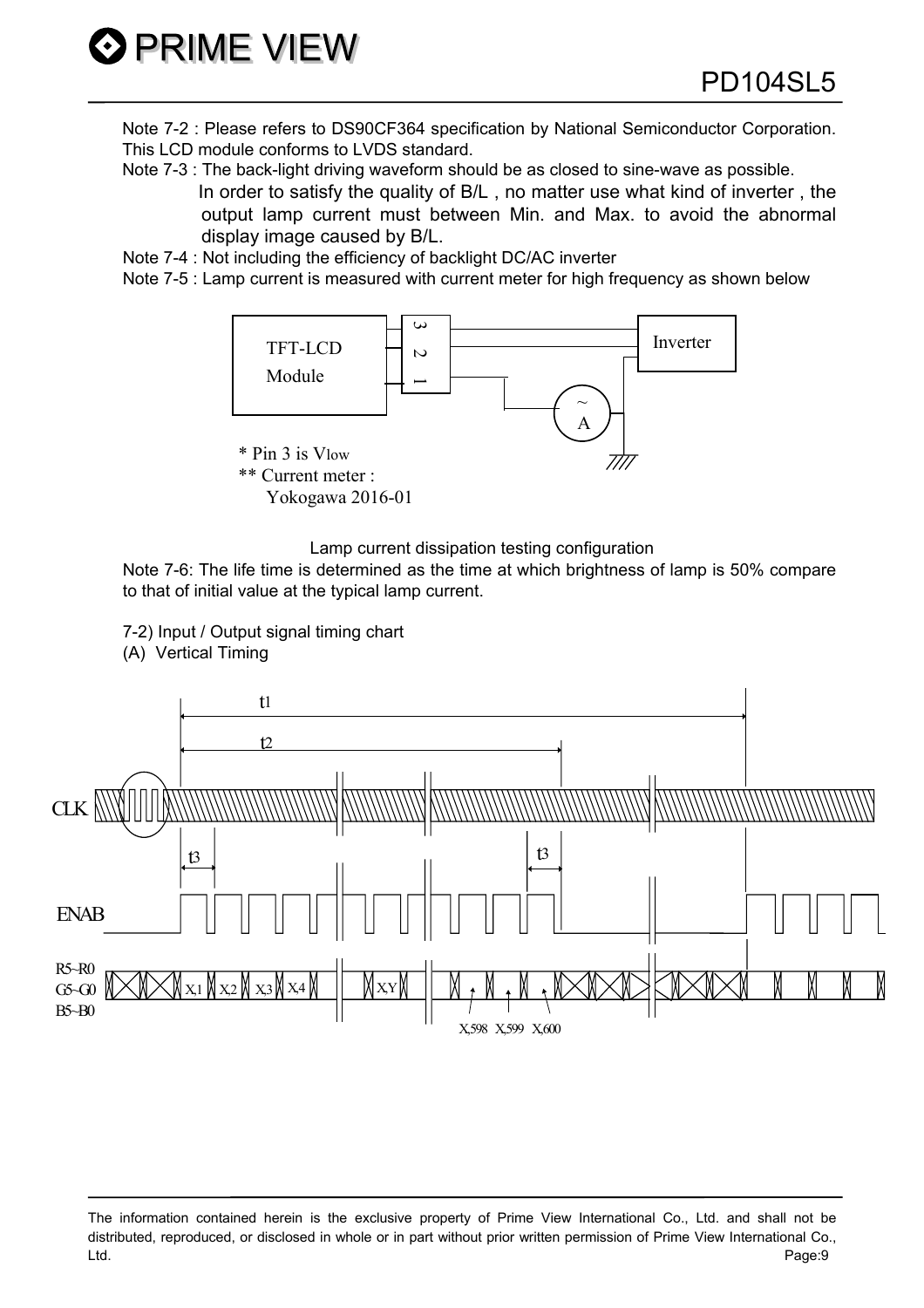Note 7-2 : Please refers to DS90CF364 specification by National Semiconductor Corporation. This LCD module conforms to LVDS standard.

- Note 7-3 : The back-light driving waveform should be as closed to sine-wave as possible. In order to satisfy the quality of B/L , no matter use what kind of inverter , the output lamp current must between Min. and Max. to avoid the abnormal display image caused by B/L.
- Note 7-4 : Not including the efficiency of backlight DC/AC inverter
- Note 7-5 : Lamp current is measured with current meter for high frequency as shown below



Lamp current dissipation testing configuration

Note 7-6: The life time is determined as the time at which brightness of lamp is 50% compare to that of initial value at the typical lamp current.

7-2) Input / Output signal timing chart (A) Vertical Timing



The information contained herein is the exclusive property of Prime View International Co., Ltd. and shall not be distributed, reproduced, or disclosed in whole or in part without prior written permission of Prime View International Co., Ltd. Page:9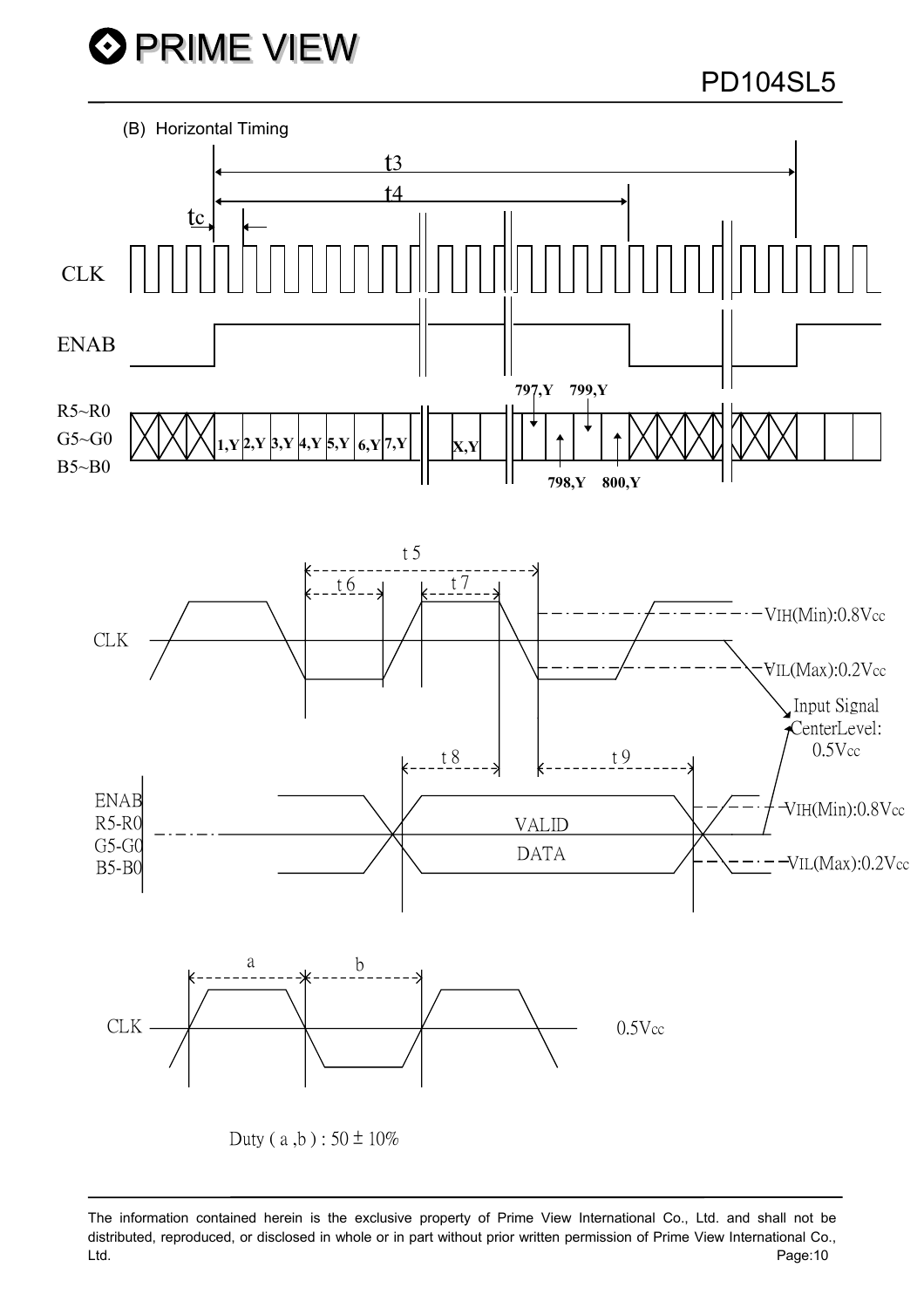PD104SL5



The information contained herein is the exclusive property of Prime View International Co., Ltd. and shall not be distributed, reproduced, or disclosed in whole or in part without prior written permission of Prime View International Co., Ltd. Page:10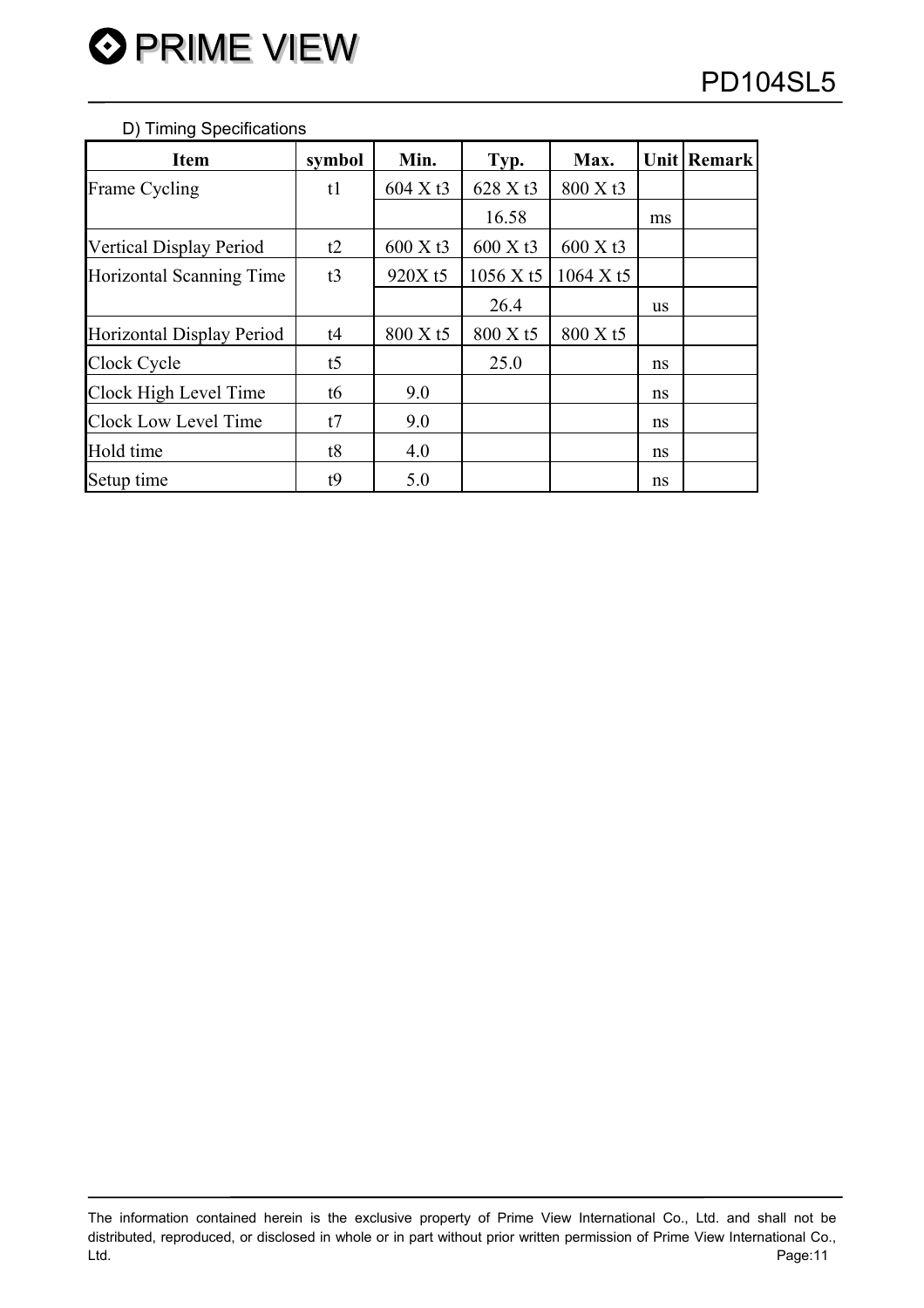#### D) Timing Specifications

| <b>Item</b>                    | symbol         | Min.                 | Typ.                 | Max.                 |    | Unit   Remark |
|--------------------------------|----------------|----------------------|----------------------|----------------------|----|---------------|
| Frame Cycling                  | t1             | 604 X t <sub>3</sub> | 628 X t3             | 800 X t3             |    |               |
|                                |                |                      | 16.58                |                      | ms |               |
| <b>Vertical Display Period</b> | t2             | 600 X t <sub>3</sub> | 600 X t <sub>3</sub> | 600 X t <sub>3</sub> |    |               |
| Horizontal Scanning Time       | t3             | 920X t5              | 1056 X t5            | 1064 X t5            |    |               |
|                                |                |                      | 26.4                 |                      | us |               |
| Horizontal Display Period      | t4             | 800 X t5             | 800 X t5             | 800 X t5             |    |               |
| Clock Cycle                    | t <sub>5</sub> |                      | 25.0                 |                      | ns |               |
| Clock High Level Time          | t6             | 9.0                  |                      |                      | ns |               |
| Clock Low Level Time           | t7             | 9.0                  |                      |                      | ns |               |
| Hold time                      | t8             | 4.0                  |                      |                      | ns |               |
| Setup time                     | t9             | 5.0                  |                      |                      | ns |               |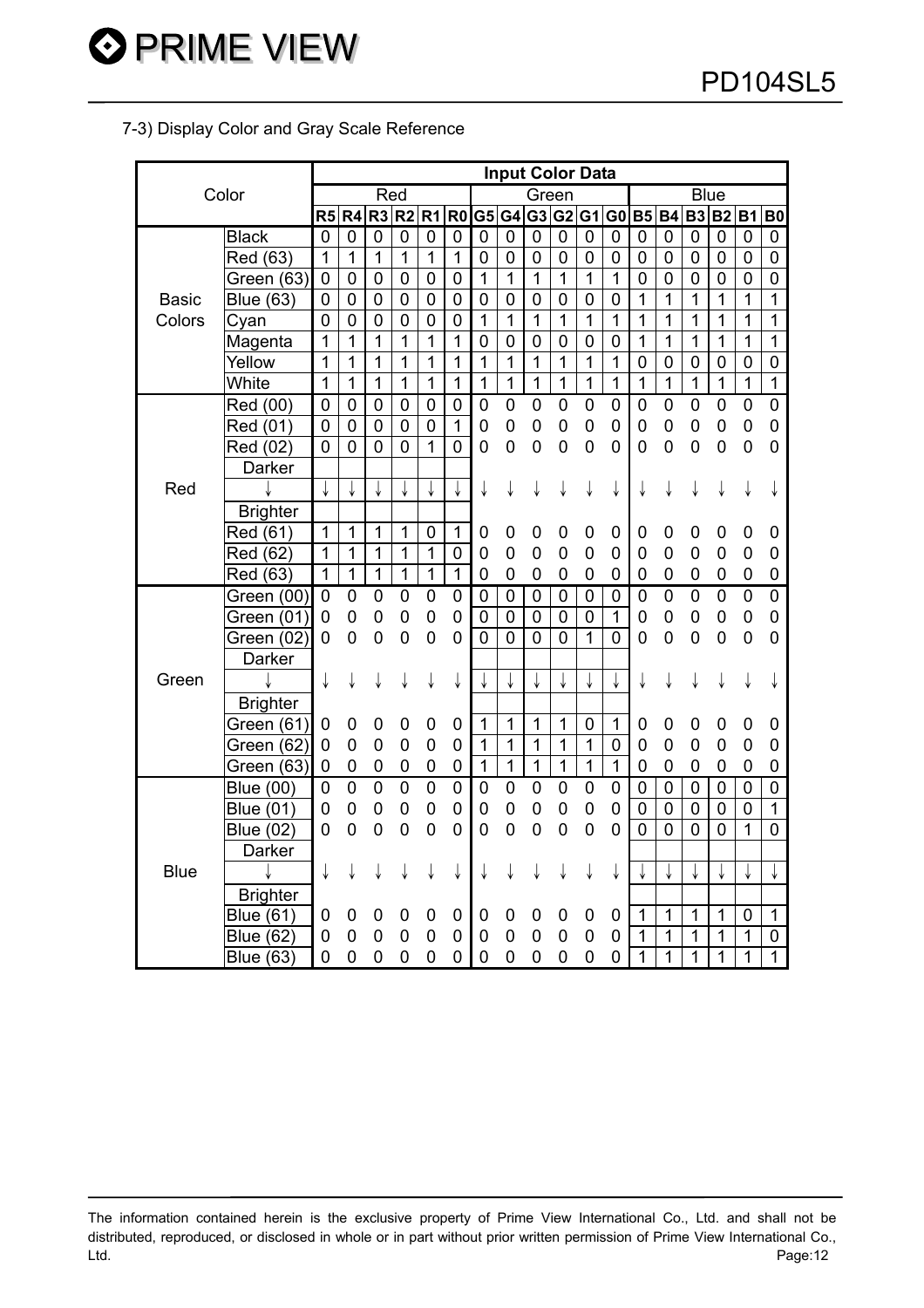## 7-3) Display Color and Gray Scale Reference

**O** PRIME VIEW

|              |                  | <b>Input Color Data</b> |                |                |                |                |                |                |                |                |                |              |                |                  |                |                |                |                |                |
|--------------|------------------|-------------------------|----------------|----------------|----------------|----------------|----------------|----------------|----------------|----------------|----------------|--------------|----------------|------------------|----------------|----------------|----------------|----------------|----------------|
|              | Color            |                         |                | Red            |                |                |                |                |                | Green          |                |              |                |                  |                | <b>Blue</b>    |                |                |                |
|              |                  | R5                      | R4             | R <sub>3</sub> | R <sub>2</sub> | R <sub>1</sub> | R <sub>0</sub> |                |                |                | G5 G4 G3 G2 G1 |              | G <sub>0</sub> | <b>B5 B4</b>     |                | <b>B3</b>      | B2 B1          |                | <b>B0</b>      |
|              | <b>Black</b>     | $\mathbf 0$             | 0              | 0              | $\overline{0}$ | $\overline{0}$ | 0              | $\mathbf 0$    | 0              | $\mathbf 0$    | $\mathbf 0$    | $\mathbf 0$  | $\mathbf 0$    | 0                | 0              | 0              | 0              | 0              | 0              |
|              | Red (63)         | $\mathbf{1}$            | $\overline{1}$ | $\mathbf{1}$   | $\overline{1}$ | 1              | 1              | 0              | 0              | 0              | 0              | 0            | 0              | 0                | 0              | $\mathbf 0$    | 0              | 0              | 0              |
|              | Green (63)       | $\mathbf 0$             | $\overline{0}$ | 0              | $\mathbf 0$    | $\mathbf 0$    | $\overline{0}$ | 1              | $\overline{1}$ | $\overline{1}$ | $\overline{1}$ | $\mathbf{1}$ | 1              | 0                | 0              | 0              | 0              | 0              | 0              |
| <b>Basic</b> | <b>Blue (63)</b> | $\pmb{0}$               | $\mathbf 0$    | $\mathbf 0$    | $\mathbf 0$    | $\mathbf 0$    | $\overline{0}$ | $\mathbf 0$    | $\overline{0}$ | $\mathbf 0$    | $\mathbf 0$    | $\mathsf 0$  | $\mathbf 0$    | $\mathbf{1}$     | $\overline{1}$ | 1              | $\overline{1}$ | $\overline{1}$ | 1              |
| Colors       | Cyan             | $\overline{0}$          | $\overline{0}$ | $\overline{0}$ | $\overline{0}$ | $\overline{0}$ | $\overline{0}$ | $\overline{1}$ | $\overline{1}$ | $\overline{1}$ | $\overline{1}$ | $\mathbf 1$  | $\mathbf 1$    | $\mathbf 1$      | 1              | 1              | 1              | 1              | $\overline{1}$ |
|              | Magenta          | 1                       | 1              | 1              | 1              | 1              | 1              | $\overline{0}$ | $\overline{0}$ | $\overline{0}$ | $\mathbf 0$    | 0            | 0              | 1                | 1              | 1              | 1              | 1              | 1              |
|              | Yellow           | 1                       | 1              | 1              | 1              | 1              | 1              | 1              | 1              | 1              | 1              | $\mathbf 1$  | $\mathbf 1$    | $\boldsymbol{0}$ | $\mathbf 0$    | $\mathbf 0$    | $\mathbf 0$    | $\mathbf 0$    | $\mathbf 0$    |
|              | White            | 1                       | 1              | 1              | 1              | 1              | 1              | 1              | $\overline{1}$ | $\overline{1}$ | $\overline{1}$ | $\mathbf 1$  | $\overline{1}$ | $\mathbf{1}$     | $\mathbf{1}$   | $\overline{1}$ | $\mathbf{1}$   | $\overline{1}$ | $\overline{1}$ |
|              | Red (00)         | $\mathbf 0$             | 0              | 0              | $\overline{0}$ | $\overline{0}$ | $\mathbf 0$    | $\mathbf 0$    | $\mathbf 0$    | 0              | 0              | 0            | 0              | 0                | 0              | 0              | 0              | $\mathbf 0$    | $\pmb{0}$      |
|              | Red (01)         | $\overline{0}$          | $\overline{0}$ | $\overline{0}$ | $\overline{0}$ | $\overline{0}$ | $\overline{1}$ | $\mathbf 0$    | 0              | 0              | 0              | 0            | 0              | 0                | 0              | 0              | 0              | $\mathbf 0$    | $\pmb{0}$      |
|              | Red (02)         | $\overline{0}$          | $\overline{0}$ | $\overline{0}$ | $\mathbf 0$    | 1              | $\overline{0}$ | 0              | 0              | 0              | 0              | 0            | 0              | 0                | $\overline{0}$ | $\mathbf 0$    | $\mathbf 0$    | $\mathbf 0$    | $\mathbf 0$    |
|              | Darker           |                         |                |                |                |                |                |                |                |                |                |              |                |                  |                |                |                |                |                |
| Red          |                  |                         |                |                |                |                |                | ↓              | ↓              | ↓              | ↓              | ↓            | ↓              | ↓                | ↓              | ↓              | ↓              | ↓              | ↓              |
|              | <b>Brighter</b>  |                         |                |                |                |                |                |                |                |                |                |              |                |                  |                |                |                |                |                |
|              | Red (61)         | $\mathbf{1}$            | $\mathbf{1}$   | 1              | 1              | $\mathbf 0$    | 1              | 0              | 0              | 0              | 0              | 0            | 0              | 0                | 0              | 0              | 0              | 0              | $\mathbf 0$    |
|              | Red (62)         | 1                       | $\mathbf{1}$   | $\overline{1}$ | $\mathbf{1}$   | 1              | $\mathbf 0$    | 0              | 0              | 0              | 0              | 0            | 0              | 0                | 0              | 0              | 0              | 0              | $\mathbf 0$    |
|              | Red (63)         | 1                       | $\overline{1}$ | $\overline{1}$ | $\mathbf{1}$   | $\mathbf 1$    | $\overline{1}$ | $\mathbf 0$    | 0              | 0              | 0              | 0            | 0              | 0                | 0              | 0              | 0              | 0              | $\mathbf 0$    |
|              | Green (00)       | 0                       | 0              | 0              | 0              | 0              | 0              | 0              | $\mathbf 0$    | $\mathbf 0$    | $\mathbf 0$    | $\mathsf 0$  | 0              | 0                | $\overline{0}$ | $\pmb{0}$      | $\overline{0}$ | $\pmb{0}$      | $\overline{0}$ |
|              | Green (01)       | 0                       | 0              | 0              | 0              | 0              | 0              | 0              | $\mathbf 0$    | $\mathbf 0$    | 0              | 0            | $\mathbf{1}$   | 0                | 0              | 0              | 0              | $\pmb{0}$      | 0              |
|              | Green (02)       | 0                       | 0              | 0              | 0              | 0              | 0              | 0              | 0              | $\overline{0}$ | 0              | $\mathbf{1}$ | 0              | 0                | 0              | 0              | 0              | $\mathbf 0$    | $\overline{0}$ |
|              | Darker           |                         |                |                |                |                |                |                |                |                |                |              |                |                  |                |                |                |                |                |
| Green        |                  | ↓                       | ↓              | ↓              | ↓              | ↓              | ↓              |                |                | ↓              | ↓              | ↓            | ↓              | ↓                | ↓              | ↓              | ↓              | ↓              | ↓              |
|              | <b>Brighter</b>  |                         |                |                |                |                |                |                |                |                |                |              |                |                  |                |                |                |                |                |
|              | Green (61)       | 0                       | 0              | 0              | 0              | 0              | 0              | 1              | 1              | 1              | 1              | 0            | 1              | 0                | 0              | 0              | 0              | 0              | 0              |
|              | Green (62)       | 0                       | 0              | 0              | 0              | 0              | 0              | 1              | $\mathbf 1$    | 1              | $\mathbf{1}$   | $\mathbf 1$  | 0              | 0                | 0              | 0              | 0              | 0              | $\mathbf 0$    |
|              | Green (63)       | 0                       | 0              | 0              | 0              | 0              | 0              | $\mathbf 1$    | $\overline{1}$ | $\overline{1}$ | $\mathbf{1}$   | $\mathbf 1$  | $\overline{1}$ | 0                | 0              | 0              | 0              | 0              | 0              |
|              | <b>Blue (00)</b> | 0                       | $\overline{0}$ | $\overline{0}$ | $\overline{0}$ | $\overline{0}$ | $\overline{0}$ | $\mathbf 0$    | $\mathbf 0$    | $\overline{0}$ | $\overline{0}$ | 0            | 0              | 0                | 0              | $\pmb{0}$      | 0              | 0              | $\overline{0}$ |
|              | <b>Blue (01)</b> | 0                       | 0              | 0              | 0              | 0              | 0              | 0              | 0              | 0              | 0              | 0            | 0              | $\mathbf 0$      | $\mathbf 0$    | $\mathbf 0$    | 0              | $\mathbf 0$    | $\overline{1}$ |
|              | <b>Blue (02)</b> | 0                       | 0              | 0              | $\overline{0}$ | 0              | $\overline{0}$ | 0              | 0              | 0              | 0              | 0            | 0              | 0                | 0              | 0              | $\overline{0}$ | 1              | 0              |
|              | Darker           |                         |                |                |                |                |                |                |                |                |                |              |                |                  |                |                |                |                |                |
| <b>Blue</b>  |                  | ↓                       | ↓              | ↓              | ↓              | ↓              | ↓              |                |                |                |                | ↓            | ↓              |                  |                | ↓              | ↓              | ↓              | ↓              |
|              | <b>Brighter</b>  |                         |                |                |                |                |                |                |                |                |                |              |                |                  |                |                |                |                |                |
|              | <b>Blue (61)</b> | 0                       | 0              | 0              | 0              | 0              | 0              | 0              | 0              | 0              | 0              | 0            | 0              | 1                | 1              | 1              | 1              | 0              | $\mathbf{1}$   |
|              | <b>Blue (62)</b> | 0                       | 0              | 0              | 0              | 0              | 0              | 0              | 0              | 0              | 0              | 0            | 0              | 1                | 1              | 1              | 1              | 1              | $\pmb{0}$      |
|              | <b>Blue (63)</b> | $\overline{0}$          | $\overline{0}$ | 0              | $\overline{0}$ | 0              | 0              | 0              | 0              | 0              | 0              | 0            | 0              | 1                | 1              | 1              | 1              | 1              | $\overline{1}$ |

The information contained herein is the exclusive property of Prime View International Co., Ltd. and shall not be distributed, reproduced, or disclosed in whole or in part without prior written permission of Prime View International Co., Ltd. Page:12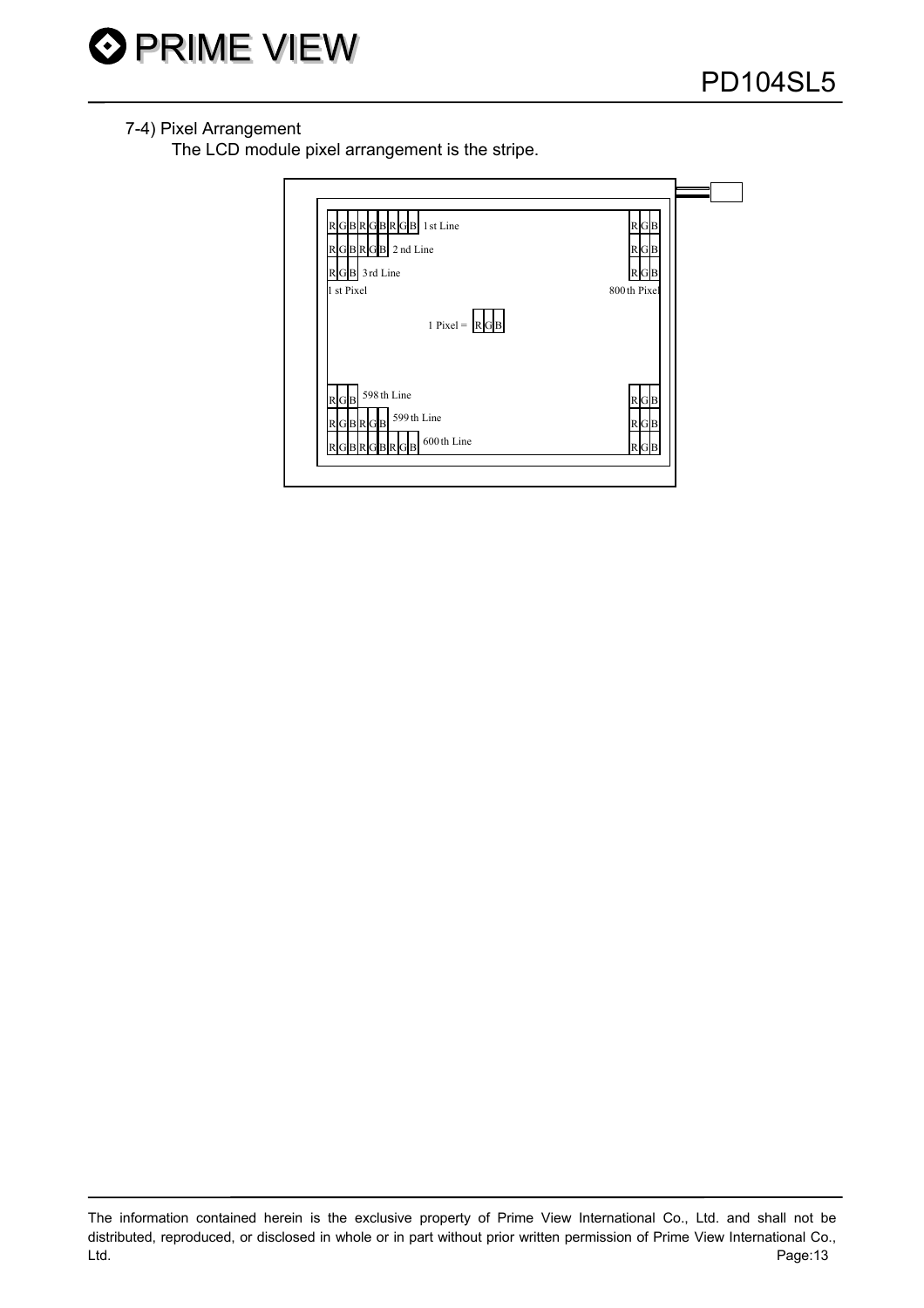

## 7-4) Pixel Arrangement

The LCD module pixel arrangement is the stripe.

| GBRGBRGB 1st Line<br>R<br>RGBRGB 2 nd Line<br>GB 3rd Line<br>1 st Pixel | $R$ G $B$<br>$R$ G $B$<br>B<br>800th Pixel |  |
|-------------------------------------------------------------------------|--------------------------------------------|--|
| 1 Pixel = $\ R\ $ B                                                     |                                            |  |
| 598 th Line<br>R G B<br>599th Line<br>RGBRGB<br>600th Line<br>BRGB      | $R$ G $B$<br>$R$ G $B$<br>$R$ G $B$        |  |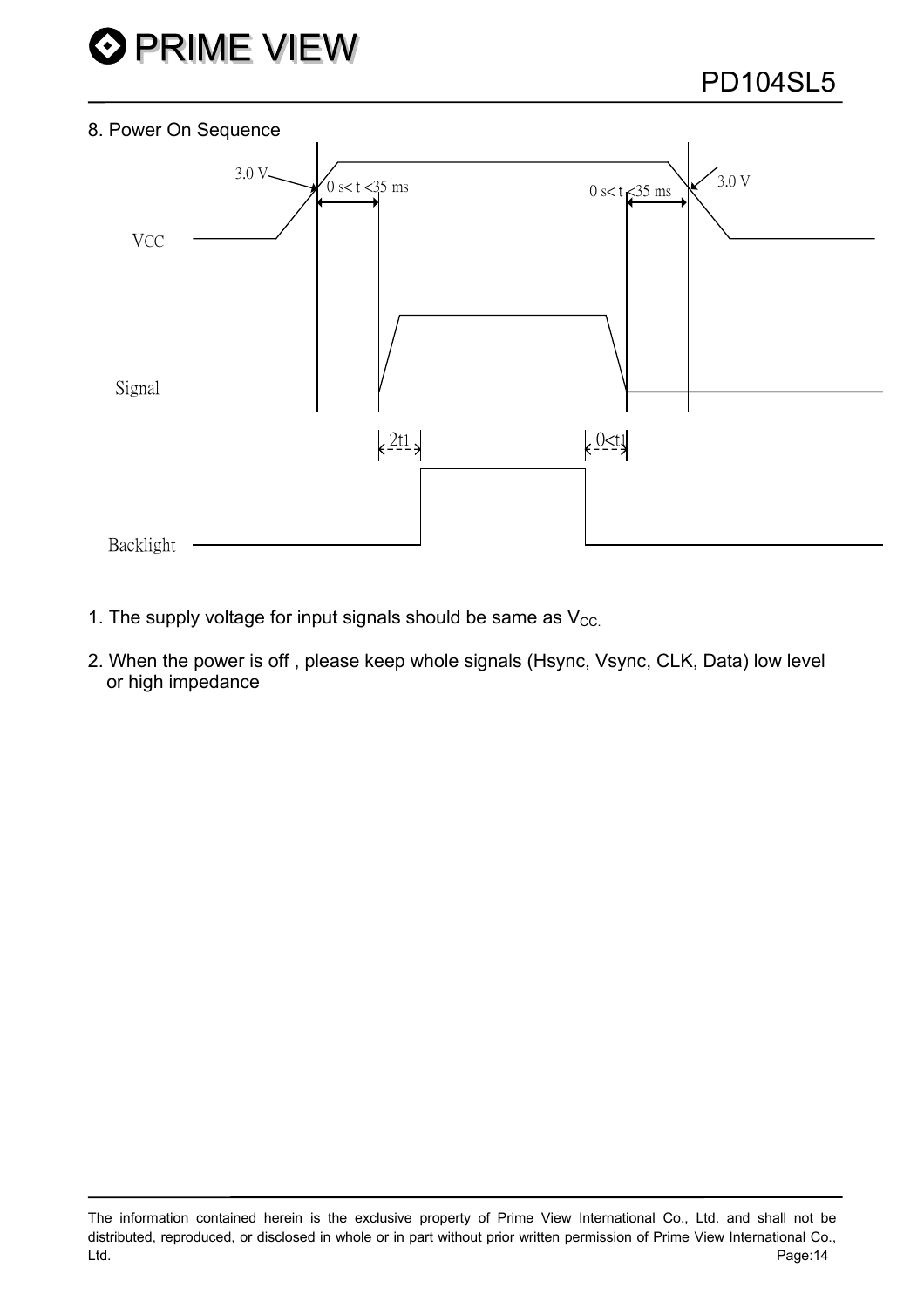

#### 8. Power On Sequence



- 1. The supply voltage for input signals should be same as  $V_{CC}$ .
- 2. When the power is off , please keep whole signals (Hsync, Vsync, CLK, Data) low level or high impedance

The information contained herein is the exclusive property of Prime View International Co., Ltd. and shall not be distributed, reproduced, or disclosed in whole or in part without prior written permission of Prime View International Co., Ltd. Page:14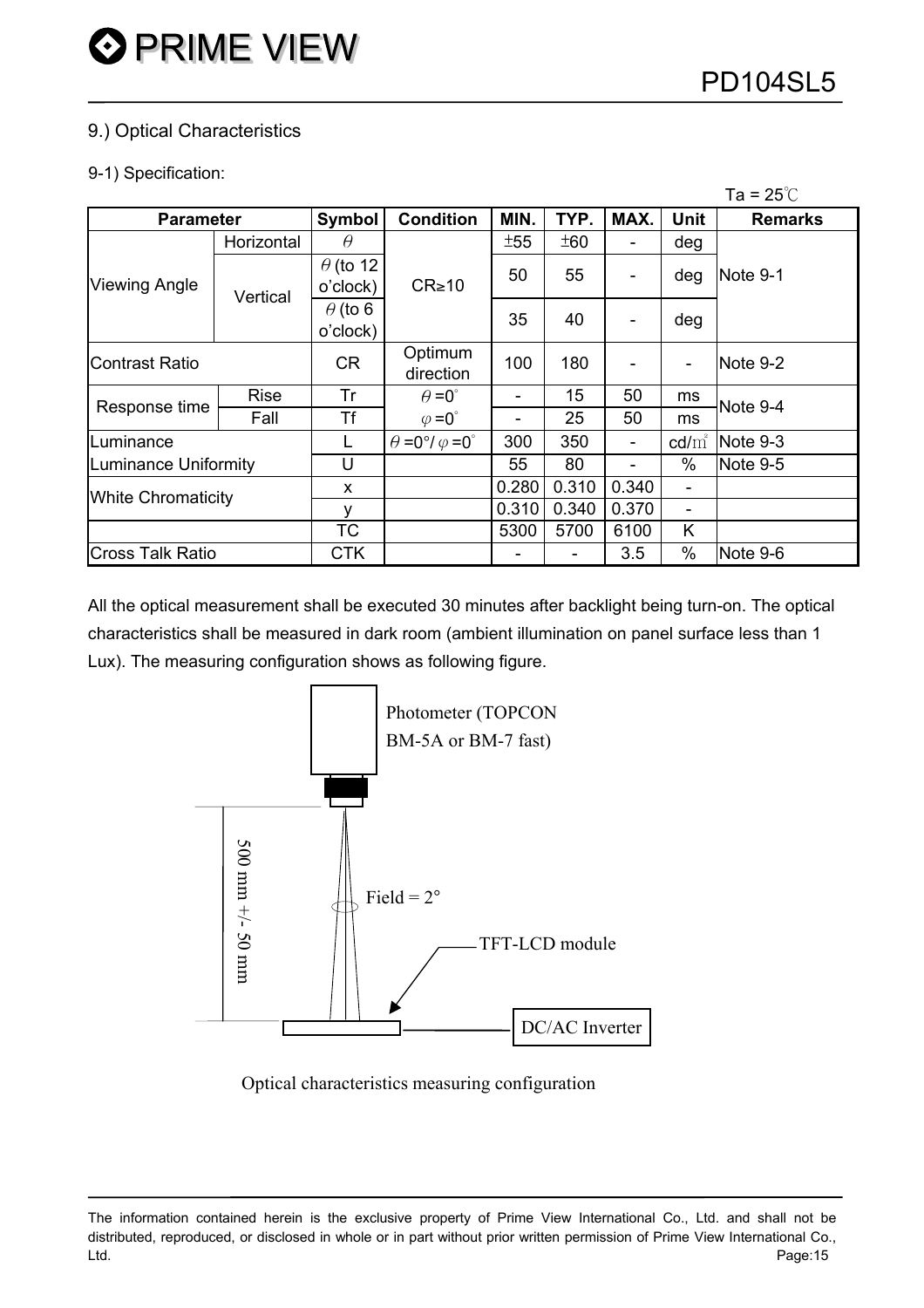## 9.) Optical Characteristics

#### 9-1) Specification:

| Ta = $25^{\circ}$ C       |             |                 |                                          |       |       |       |                              |                |  |  |  |
|---------------------------|-------------|-----------------|------------------------------------------|-------|-------|-------|------------------------------|----------------|--|--|--|
| <b>Parameter</b>          |             | Symbol          | <b>Condition</b>                         | MIN.  | TYP.  | MAX.  | <b>Unit</b>                  | <b>Remarks</b> |  |  |  |
|                           | Horizontal  | $\theta$        |                                          | ±55   | ±60   |       | deg                          |                |  |  |  |
|                           |             | $\theta$ (to 12 |                                          | 50    | 55    |       | deg                          | Note 9-1       |  |  |  |
| <b>Viewing Angle</b>      | Vertical    | o'clock)        | $CR \ge 10$                              |       |       |       |                              |                |  |  |  |
|                           |             | $\theta$ (to 6  |                                          | 35    | 40    |       | deg                          |                |  |  |  |
|                           |             | o'clock)        |                                          |       |       |       |                              |                |  |  |  |
| <b>Contrast Ratio</b>     |             | CR              | Optimum                                  | 100   | 180   |       | $\blacksquare$               | Note 9-2       |  |  |  |
|                           |             |                 | direction                                |       |       |       |                              |                |  |  |  |
| Response time             | <b>Rise</b> | Tr              | $\theta = 0^{\circ}$                     |       | 15    | 50    | ms                           | Note 9-4       |  |  |  |
|                           | Fall        | <b>Tf</b>       | $\varphi = 0^{\circ}$                    |       | 25    | 50    | ms                           |                |  |  |  |
| uminance.                 |             | L               | $\theta = 0^{\circ}/\varphi = 0^{\circ}$ | 300   | 350   |       | $\text{cd/m}^2$              | $Note 9-3$     |  |  |  |
| Luminance Uniformity      |             | U               |                                          | 55    | 80    |       | %                            | Note 9-5       |  |  |  |
| <b>White Chromaticity</b> |             | X               |                                          | 0.280 | 0.310 | 0.340 | $\overline{\phantom{a}}$     |                |  |  |  |
|                           |             | v               |                                          | 0.310 | 0.340 | 0.370 | $\qquad \qquad \blacksquare$ |                |  |  |  |
|                           |             | ТC              |                                          | 5300  | 5700  | 6100  | Κ                            |                |  |  |  |
| <b>Cross Talk Ratio</b>   |             | <b>CTK</b>      |                                          |       | -     | 3.5   | $\%$                         | Note 9-6       |  |  |  |

All the optical measurement shall be executed 30 minutes after backlight being turn-on. The optical characteristics shall be measured in dark room (ambient illumination on panel surface less than 1 Lux). The measuring configuration shows as following figure.



Optical characteristics measuring configuration

The information contained herein is the exclusive property of Prime View International Co., Ltd. and shall not be distributed, reproduced, or disclosed in whole or in part without prior written permission of Prime View International Co., Ltd. Page:15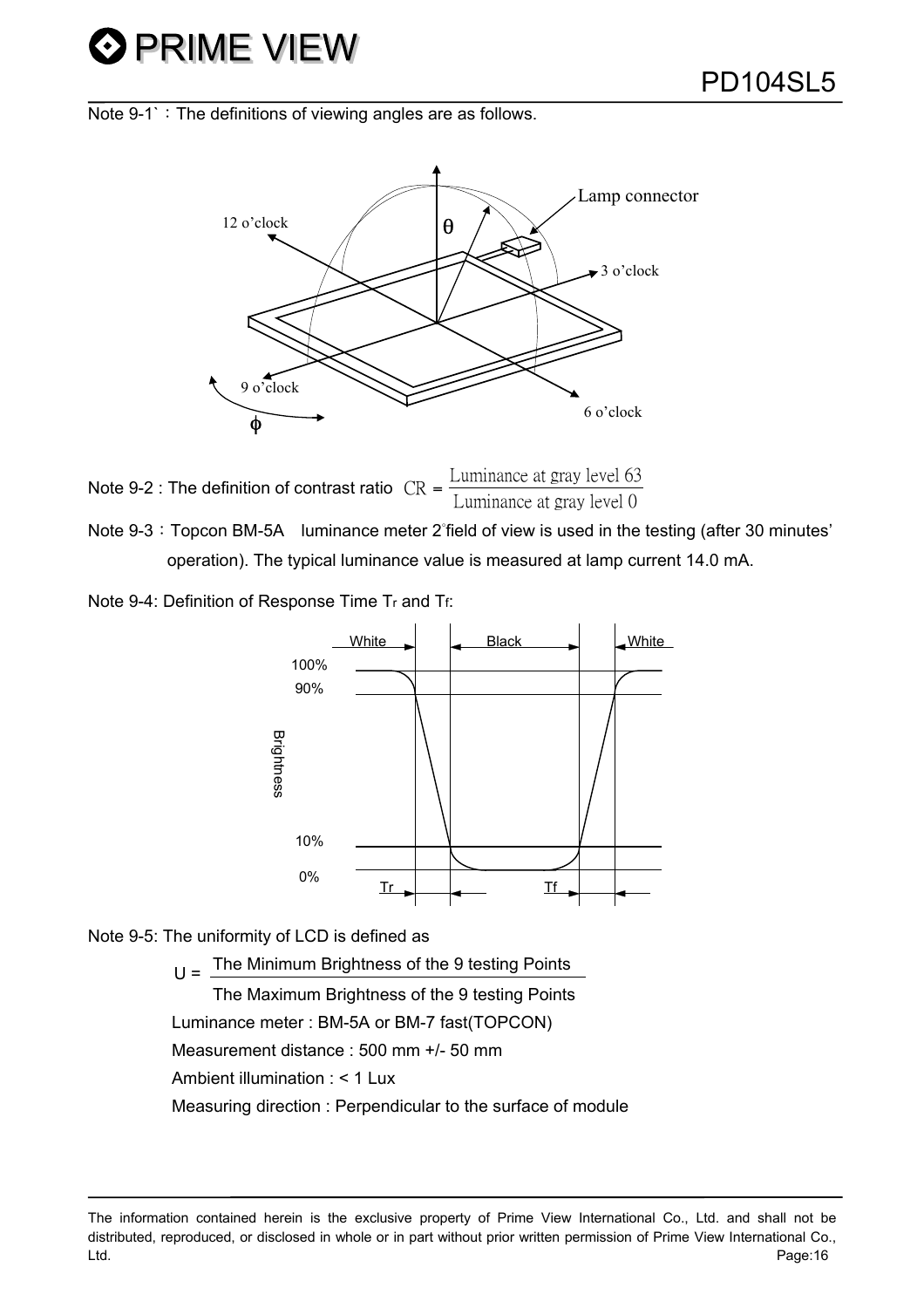Note  $9-1$ <sup> $\cdot$ </sup>: The definitions of viewing angles are as follows.



Note 9-2 : The definition of contrast ratio  $CR = \frac{Luminance}{I}$  at gray level 63  $=\frac{\text{minimize at gray level}}{\text{Luminance at gray level}}$ 

Note 9-3: Topcon BM-5A luminance meter 2°field of view is used in the testing (after 30 minutes' operation). The typical luminance value is measured at lamp current 14.0 mA.

Note 9-4: Definition of Response Time Tr and Tf:



Note 9-5: The uniformity of LCD is defined as

 $U =$  The Minimum Brightness of the 9 testing Points The Maximum Brightness of the 9 testing Points Luminance meter : BM-5A or BM-7 fast(TOPCON) Measurement distance : 500 mm +/- 50 mm Ambient illumination : < 1 Lux Measuring direction : Perpendicular to the surface of module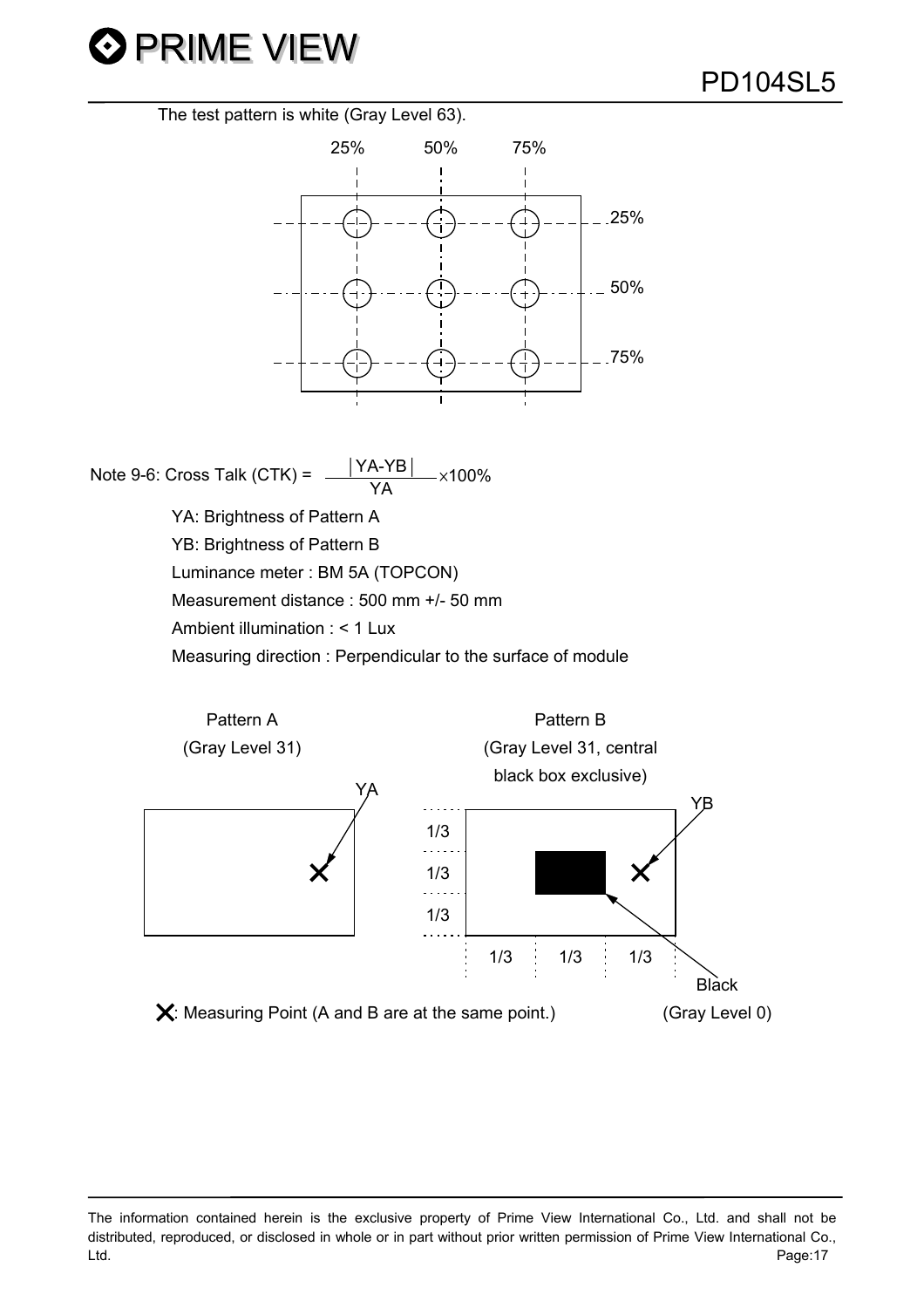

The test pattern is white (Gray Level 63).



Note 9-6: Cross Talk (CTK) =  $\frac{|YA-YB|}{YA}$  ×100% YA: Brightness of Pattern A YB: Brightness of Pattern B Luminance meter : BM 5A (TOPCON) Measurement distance : 500 mm +/- 50 mm Ambient illumination : < 1 Lux Measuring direction : Perpendicular to the surface of module



The information contained herein is the exclusive property of Prime View International Co., Ltd. and shall not be distributed, reproduced, or disclosed in whole or in part without prior written permission of Prime View International Co., Ltd. Page:17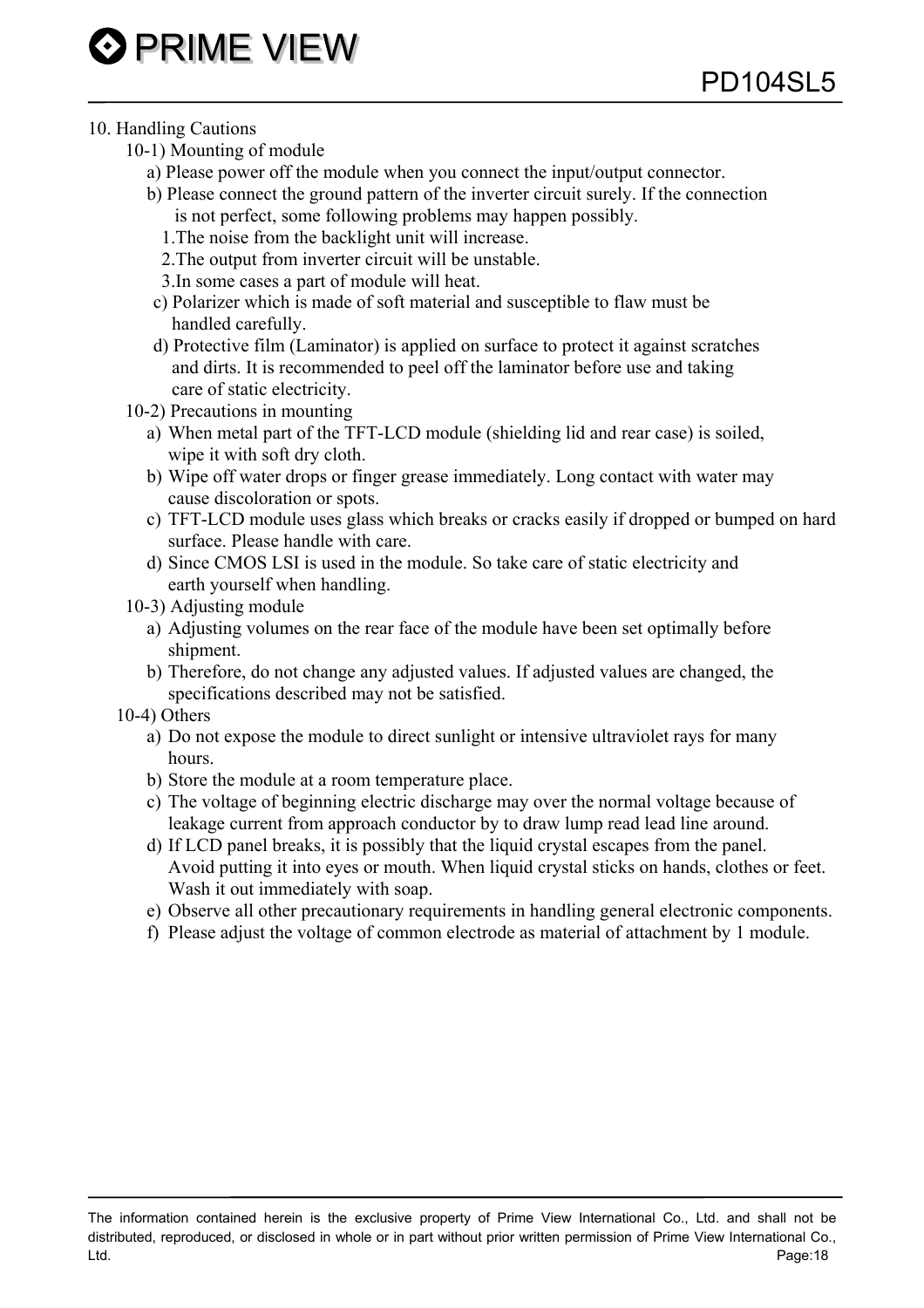#### 10. Handling Cautions

- 10-1) Mounting of module
	- a) Please power off the module when you connect the input/output connector.
	- b) Please connect the ground pattern of the inverter circuit surely. If the connection is not perfect, some following problems may happen possibly.
		- 1.The noise from the backlight unit will increase.
		- 2.The output from inverter circuit will be unstable.
		- 3.In some cases a part of module will heat.
	- c) Polarizer which is made of soft material and susceptible to flaw must be handled carefully.
	- d) Protective film (Laminator) is applied on surface to protect it against scratches and dirts. It is recommended to peel off the laminator before use and taking care of static electricity.
- 10-2) Precautions in mounting
	- a) When metal part of the TFT-LCD module (shielding lid and rear case) is soiled, wipe it with soft dry cloth.
	- b) Wipe off water drops or finger grease immediately. Long contact with water may cause discoloration or spots.
	- c) TFT-LCD module uses glass which breaks or cracks easily if dropped or bumped on hard surface. Please handle with care.
	- d) Since CMOS LSI is used in the module. So take care of static electricity and earth yourself when handling.
- 10-3) Adjusting module
	- a) Adjusting volumes on the rear face of the module have been set optimally before shipment.
	- b) Therefore, do not change any adjusted values. If adjusted values are changed, the specifications described may not be satisfied.
- 10-4) Others
	- a) Do not expose the module to direct sunlight or intensive ultraviolet rays for many hours.
	- b) Store the module at a room temperature place.
	- c) The voltage of beginning electric discharge may over the normal voltage because of leakage current from approach conductor by to draw lump read lead line around.
	- d) If LCD panel breaks, it is possibly that the liquid crystal escapes from the panel. Avoid putting it into eyes or mouth. When liquid crystal sticks on hands, clothes or feet. Wash it out immediately with soap.
	- e) Observe all other precautionary requirements in handling general electronic components.
	- f) Please adjust the voltage of common electrode as material of attachment by 1 module.

The information contained herein is the exclusive property of Prime View International Co., Ltd. and shall not be distributed, reproduced, or disclosed in whole or in part without prior written permission of Prime View International Co., Ltd. Page:18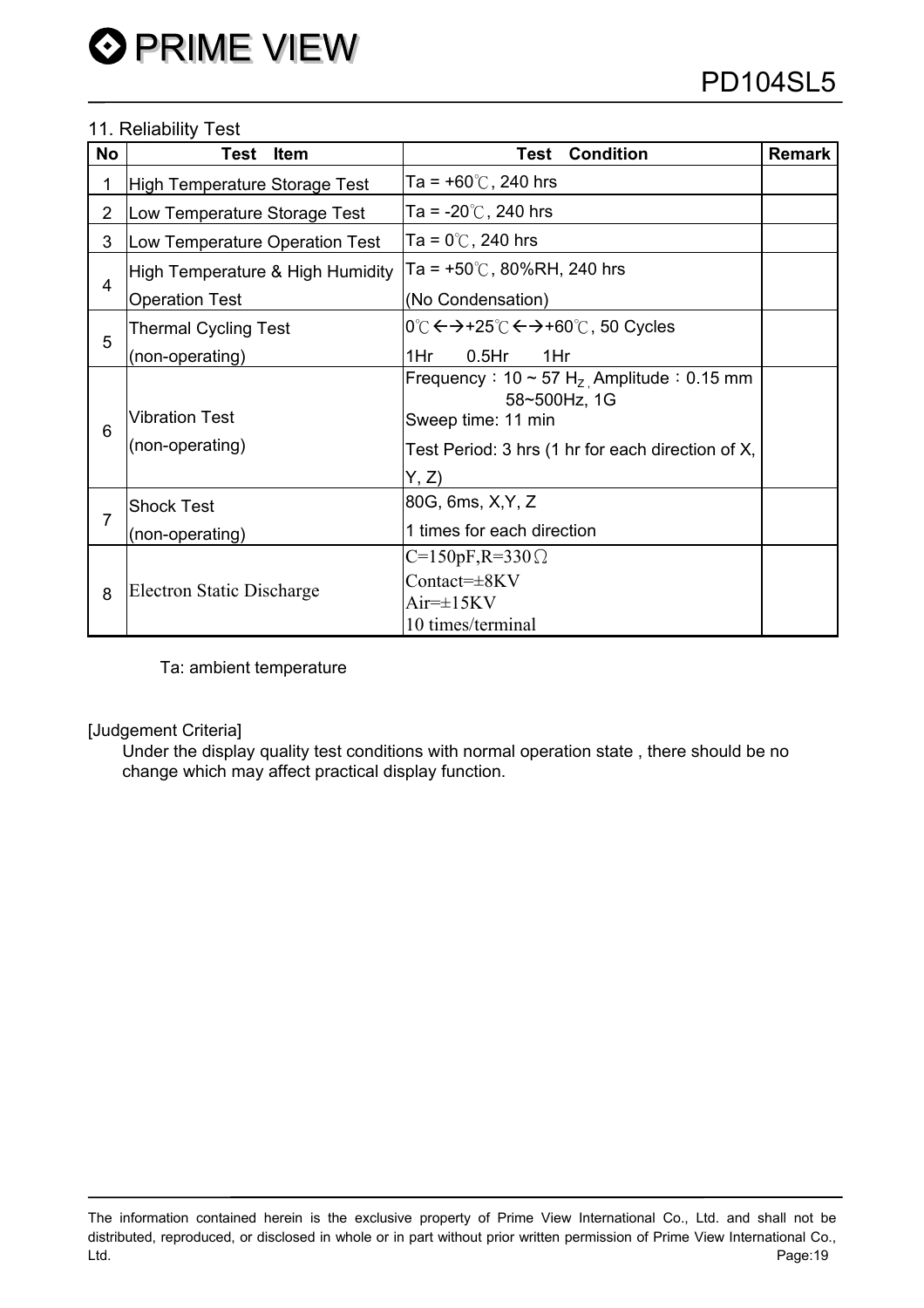## 11. Reliability Test

| <b>No</b>      | <b>Item</b><br>Test                                           | <b>Condition</b><br>Test                                 | <b>Remark</b> |  |
|----------------|---------------------------------------------------------------|----------------------------------------------------------|---------------|--|
| 1              | High Temperature Storage Test                                 | Ta = +60 $\degree$ C, 240 hrs                            |               |  |
| $\overline{2}$ | Ta = -20 $\degree$ C, 240 hrs<br>Low Temperature Storage Test |                                                          |               |  |
| 3              | Low Temperature Operation Test                                | Ta = 0 $\degree$ C, 240 hrs                              |               |  |
| 4              | High Temperature & High Humidity                              | Ta = +50℃, 80%RH, 240 hrs                                |               |  |
|                | <b>Operation Test</b>                                         | (No Condensation)                                        |               |  |
| 5              | <b>Thermal Cycling Test</b>                                   | 0℃ ← → +25℃ ← → +60℃, 50 Cycles                          |               |  |
|                | (non-operating)                                               | $0.5$ Hr<br>1Hr<br>1Hr                                   |               |  |
| 6              |                                                               | Frequency: $10 \sim 57 \text{ H}_{Z}$ Amplitude: 0.15 mm |               |  |
|                | <b>Vibration Test</b>                                         | 58~500Hz, 1G<br>Sweep time: 11 min                       |               |  |
|                | (non-operating)                                               | Test Period: 3 hrs (1 hr for each direction of X,        |               |  |
|                |                                                               | Y, Z                                                     |               |  |
| 7              | <b>Shock Test</b>                                             | 80G, 6ms, X, Y, Z                                        |               |  |
|                | (non-operating)                                               | 1 times for each direction                               |               |  |
| 8              | Electron Static Discharge                                     | $C=150pF, R=330\Omega$                                   |               |  |
|                |                                                               | $Context=\pm 8KV$                                        |               |  |
|                |                                                               | $Air=\pm 15KV$                                           |               |  |
|                |                                                               | 10 times/terminal                                        |               |  |

Ta: ambient temperature

#### [Judgement Criteria]

Under the display quality test conditions with normal operation state , there should be no change which may affect practical display function.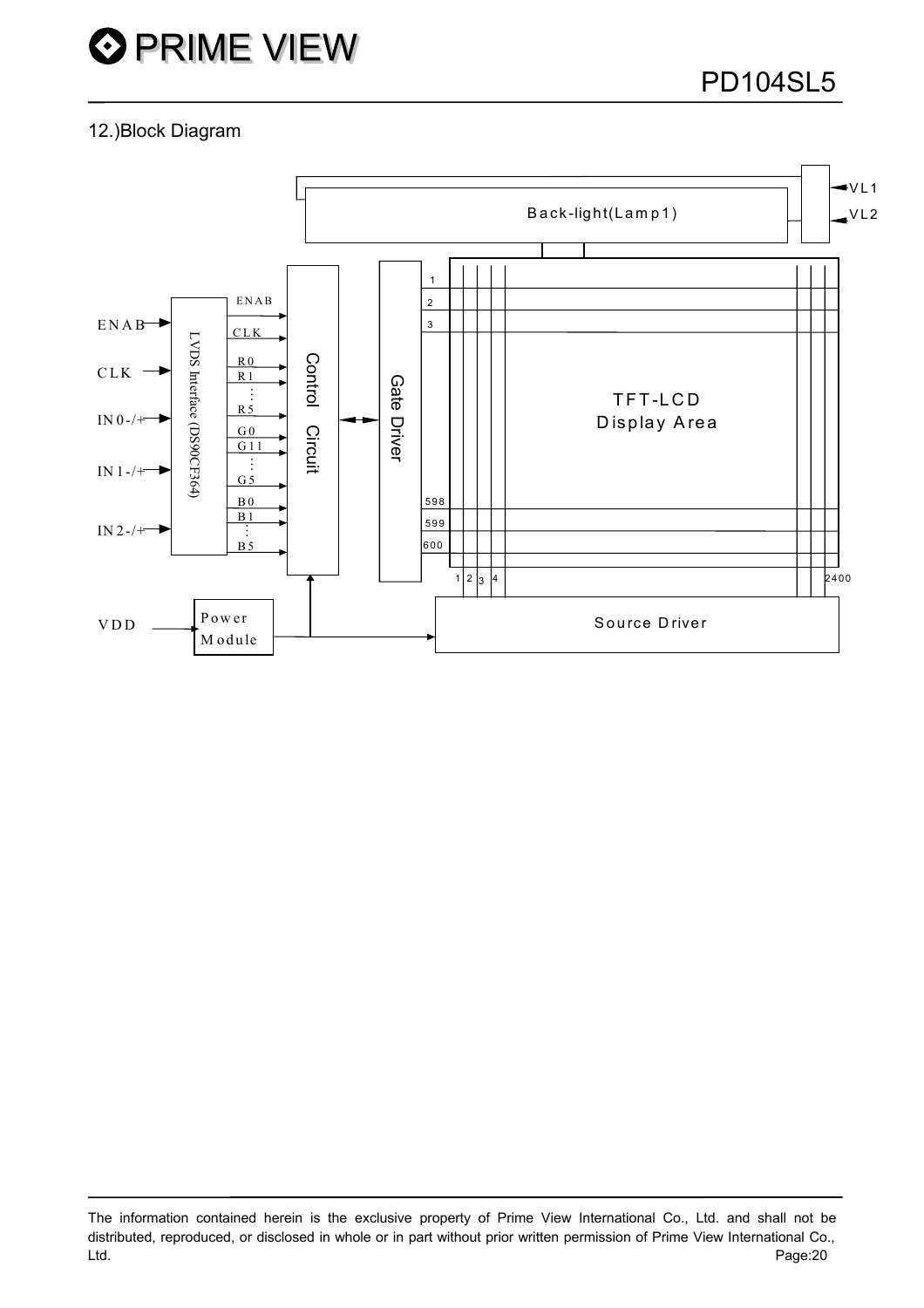# 12.)Block Diagram

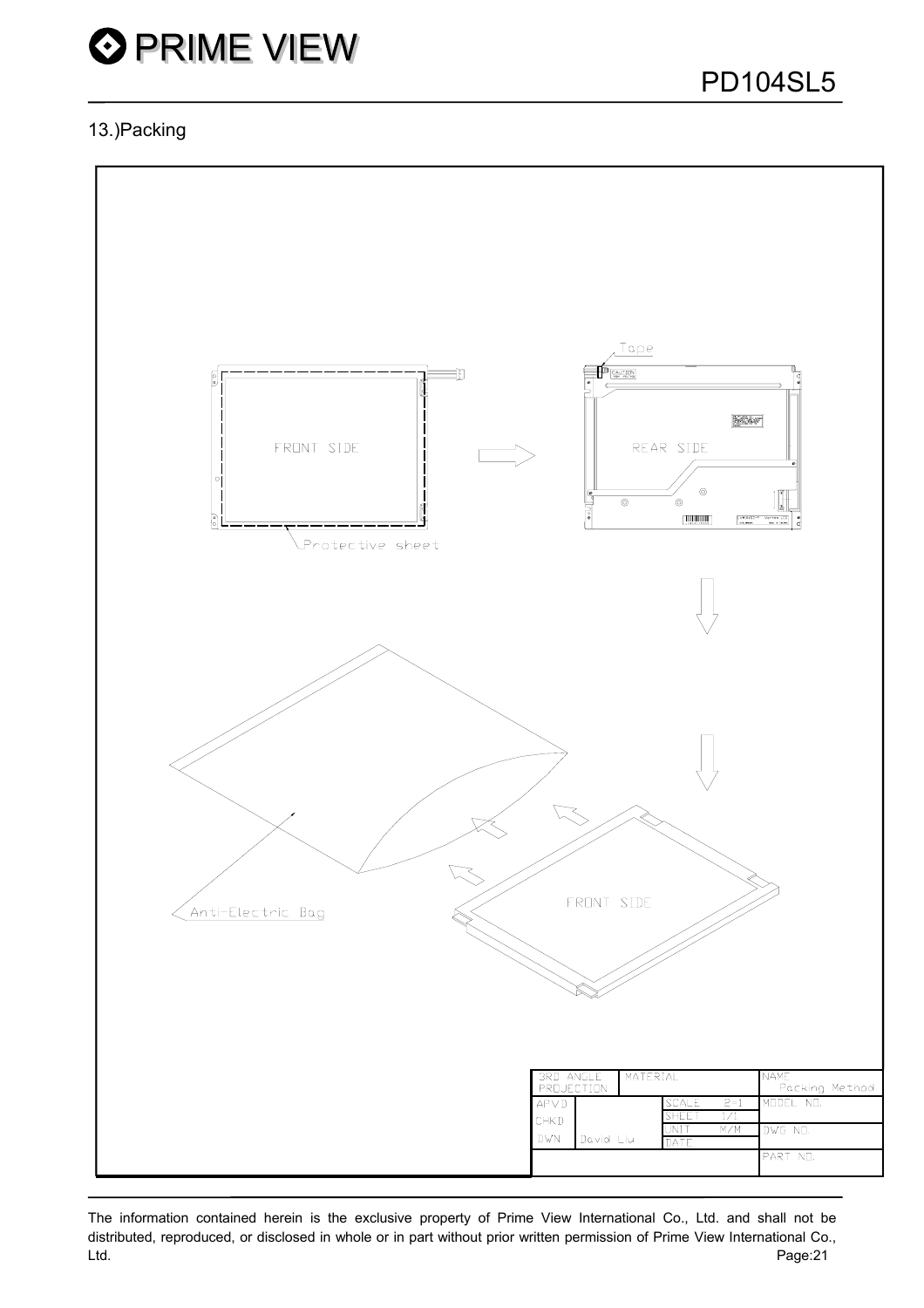# 13.)Packing

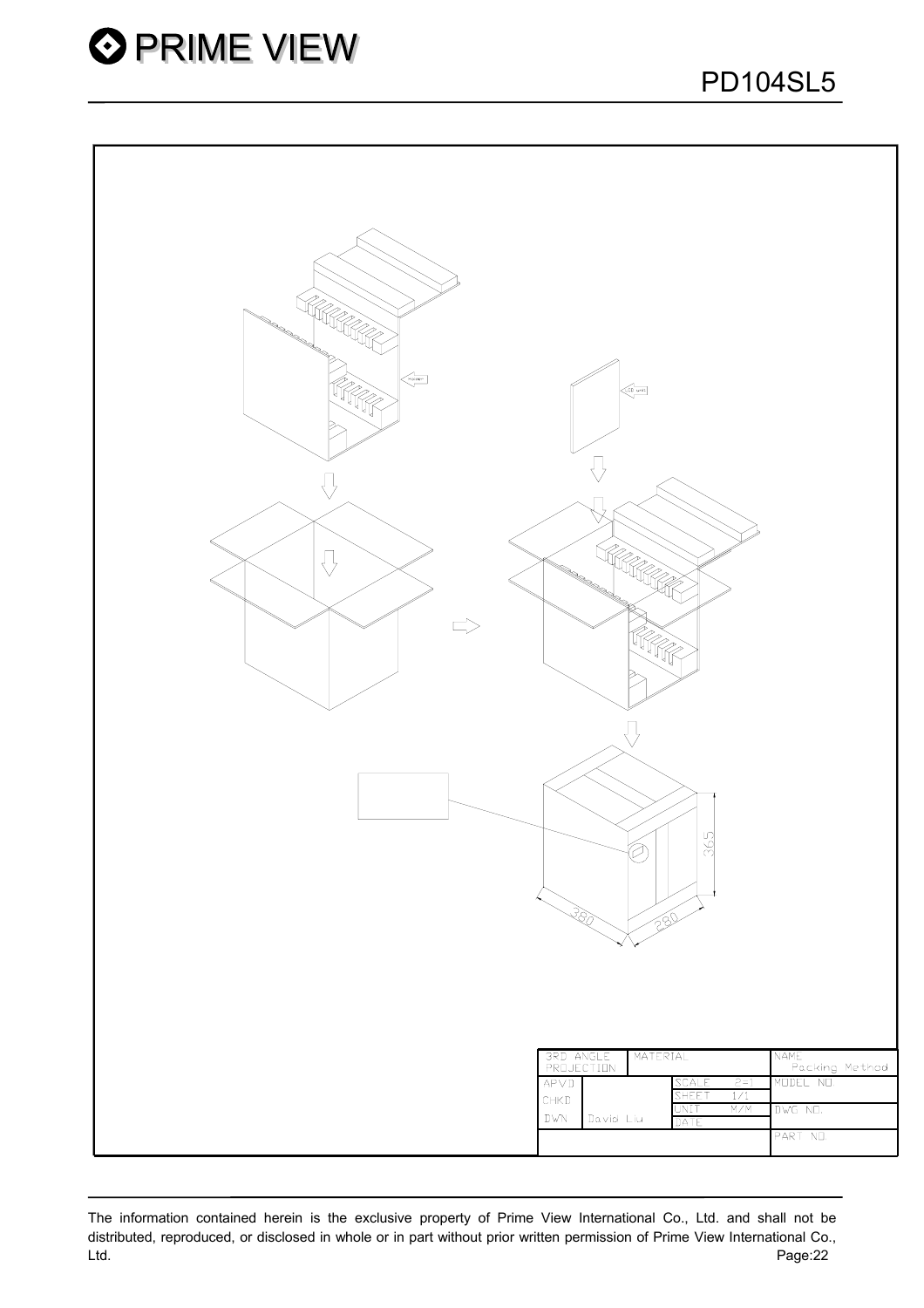

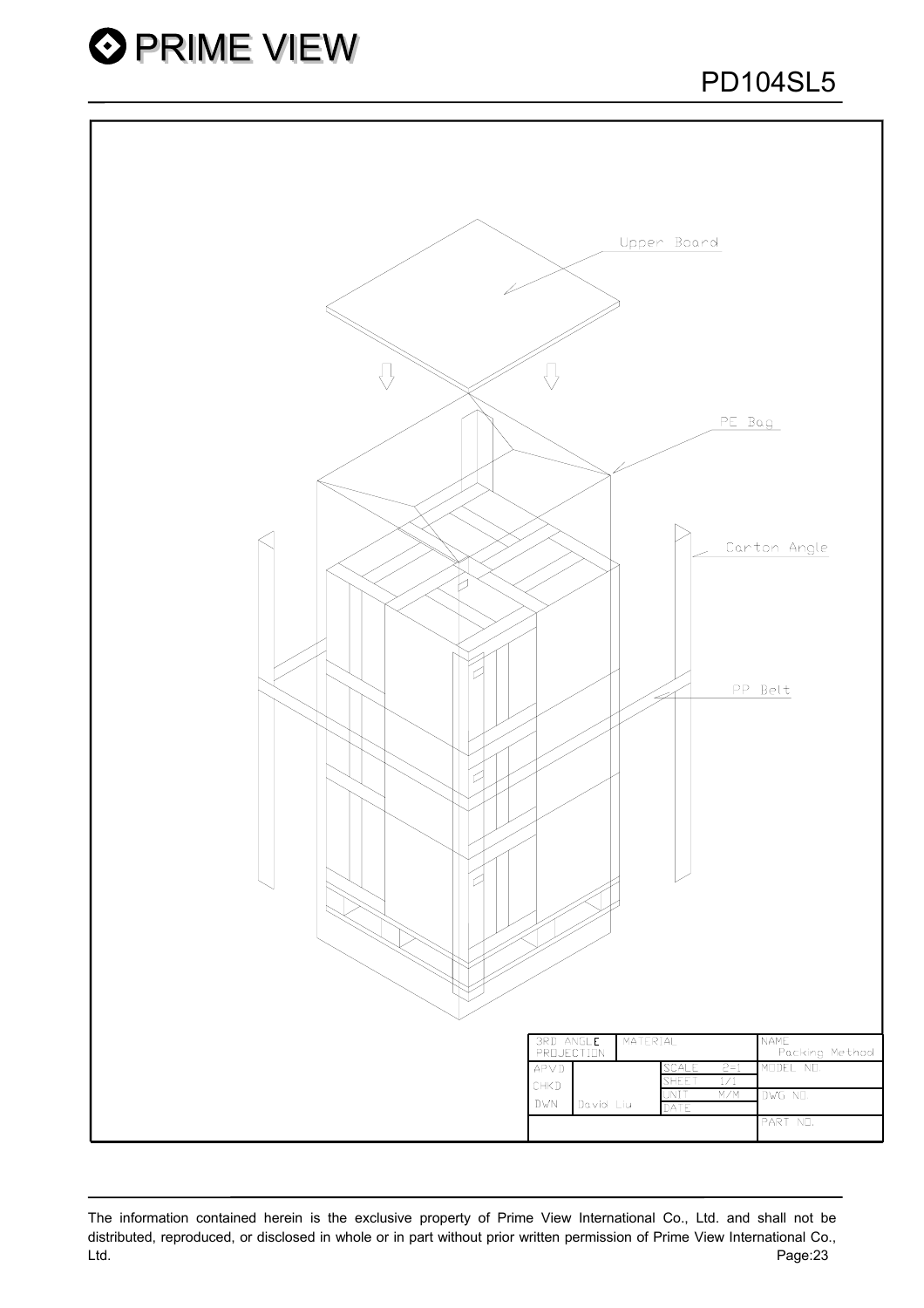



The information contained herein is the exclusive property of Prime View International Co., Ltd. and shall not be distributed, reproduced, or disclosed in whole or in part without prior written permission of Prime View International Co., Ltd. Page:23